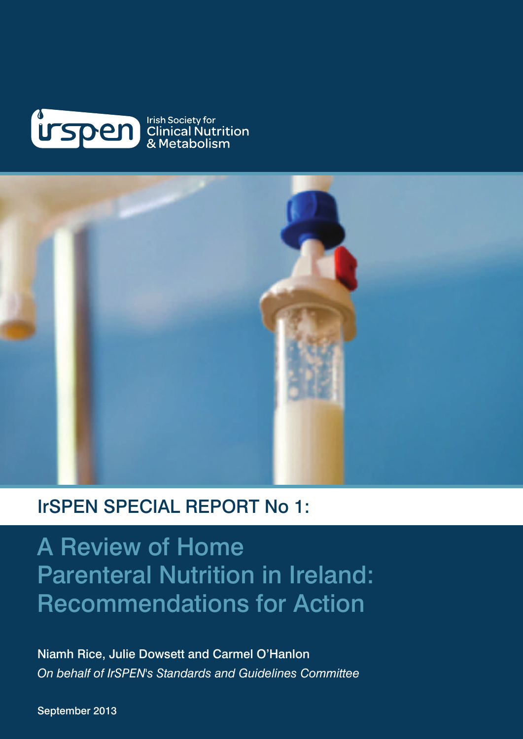



### IrSPEN SPECIAL REPORT No 1:

A Review of Home Parenteral Nutrition in Ireland: Recommendations for Action

Niamh Rice, Julie Dowsett and Carmel O'Hanlon *On behalf of IrSPEN's Standards and Guidelines Committee*

September 2013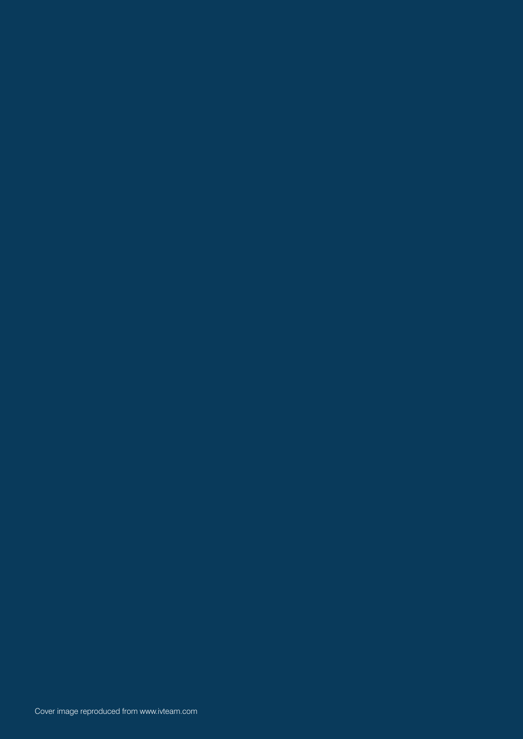Cover image reproduced from www.ivteam.com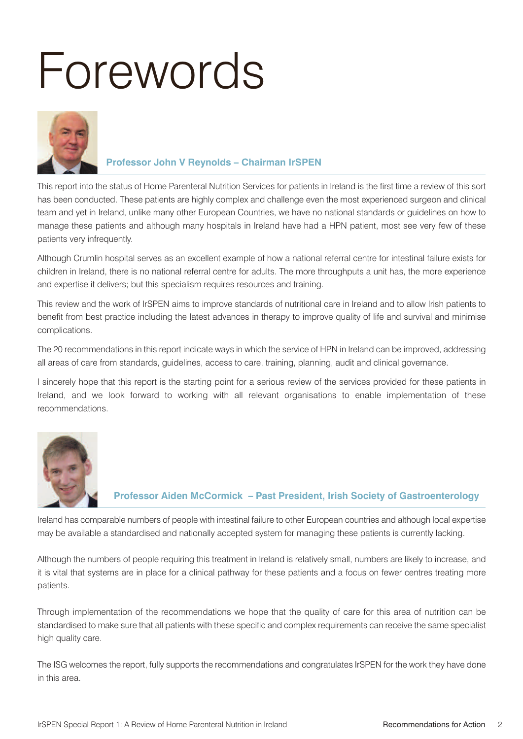# Forewords



#### **Professor John V Reynolds – Chairman IrSPEN**

This report into the status of Home Parenteral Nutrition Services for patients in Ireland is the first time a review of this sort has been conducted. These patients are highly complex and challenge even the most experienced surgeon and clinical team and yet in Ireland, unlike many other European Countries, we have no national standards or guidelines on how to manage these patients and although many hospitals in Ireland have had a HPN patient, most see very few of these patients very infrequently.

Although Crumlin hospital serves as an excellent example of how a national referral centre for intestinal failure exists for children in Ireland, there is no national referral centre for adults. The more throughputs a unit has, the more experience and expertise it delivers; but this specialism requires resources and training.

This review and the work of IrSPEN aims to improve standards of nutritional care in Ireland and to allow Irish patients to benefit from best practice including the latest advances in therapy to improve quality of life and survival and minimise complications.

The 20 recommendations in this report indicate ways in which the service of HPN in Ireland can be improved, addressing all areas of care from standards, guidelines, access to care, training, planning, audit and clinical governance.

I sincerely hope that this report is the starting point for a serious review of the services provided for these patients in Ireland, and we look forward to working with all relevant organisations to enable implementation of these recommendations.



#### **Professor Aiden McCormick – Past President, Irish Society of Gastroenterology**

Ireland has comparable numbers of people with intestinal failure to other European countries and although local expertise may be available a standardised and nationally accepted system for managing these patients is currently lacking.

Although the numbers of people requiring this treatment in Ireland is relatively small, numbers are likely to increase, and it is vital that systems are in place for a clinical pathway for these patients and a focus on fewer centres treating more patients.

Through implementation of the recommendations we hope that the quality of care for this area of nutrition can be standardised to make sure that all patients with these specific and complex requirements can receive the same specialist high quality care.

The ISG welcomes the report, fully supports the recommendations and congratulates IrSPEN for the work they have done in this area.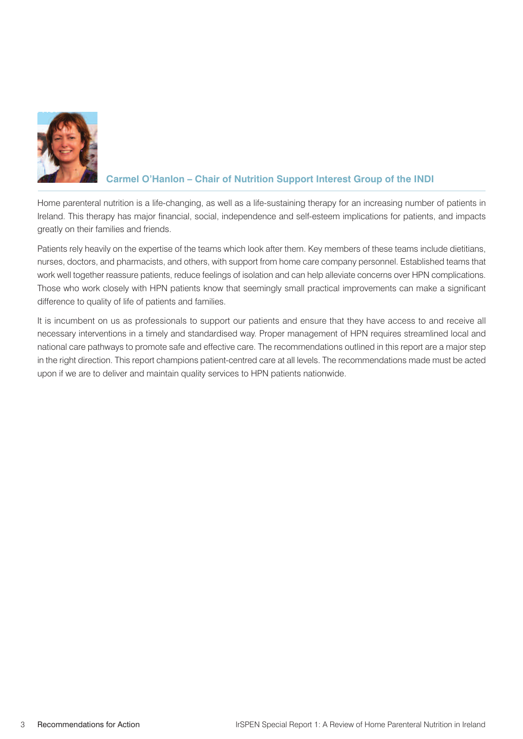

#### **Carmel O'Hanlon – Chair of Nutrition Support Interest Group of the INDI**

Home parenteral nutrition is a life-changing, as well as a life-sustaining therapy for an increasing number of patients in Ireland. This therapy has major financial, social, independence and self-esteem implications for patients, and impacts greatly on their families and friends.

Patients rely heavily on the expertise of the teams which look after them. Key members of these teams include dietitians, nurses, doctors, and pharmacists, and others, with support from home care company personnel. Established teams that work well together reassure patients, reduce feelings of isolation and can help alleviate concerns over HPN complications. Those who work closely with HPN patients know that seemingly small practical improvements can make a significant difference to quality of life of patients and families.

It is incumbent on us as professionals to support our patients and ensure that they have access to and receive all necessary interventions in a timely and standardised way. Proper management of HPN requires streamlined local and national care pathways to promote safe and effective care. The recommendations outlined in this report are a major step in the right direction. This report champions patient-centred care at all levels. The recommendations made must be acted upon if we are to deliver and maintain quality services to HPN patients nationwide.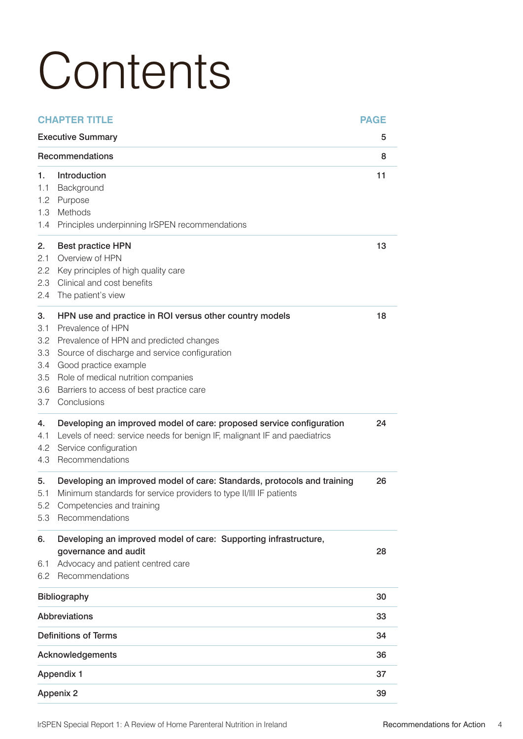# **Contents**

|                                                     | <b>CHAPTER TITLE</b>                                                                                                                                                                                                                                                                                | <b>PAGE</b> |
|-----------------------------------------------------|-----------------------------------------------------------------------------------------------------------------------------------------------------------------------------------------------------------------------------------------------------------------------------------------------------|-------------|
| <b>Executive Summary</b>                            |                                                                                                                                                                                                                                                                                                     | 5           |
|                                                     | Recommendations                                                                                                                                                                                                                                                                                     | 8           |
| 1.<br>1.1<br>1.2<br>1.3<br>1.4                      | Introduction<br>Background<br>Purpose<br>Methods<br>Principles underpinning IrSPEN recommendations                                                                                                                                                                                                  | 11          |
| 2.<br>2.1<br>2.2<br>2.3<br>2.4                      | <b>Best practice HPN</b><br>Overview of HPN<br>Key principles of high quality care<br>Clinical and cost benefits<br>The patient's view                                                                                                                                                              | 13          |
| 3.<br>3.1<br>3.2<br>3.3<br>3.4<br>3.5<br>3.6<br>3.7 | HPN use and practice in ROI versus other country models<br>Prevalence of HPN<br>Prevalence of HPN and predicted changes<br>Source of discharge and service configuration<br>Good practice example<br>Role of medical nutrition companies<br>Barriers to access of best practice care<br>Conclusions | 18          |
| 4.<br>4.1<br>4.2<br>4.3                             | Developing an improved model of care: proposed service configuration<br>Levels of need: service needs for benign IF, malignant IF and paediatrics<br>Service configuration<br>Recommendations                                                                                                       | 24          |
| 5.<br>5.1<br>5.2<br>5.3                             | Developing an improved model of care: Standards, protocols and training<br>Minimum standards for service providers to type II/III IF patients<br>Competencies and training<br>Recommendations                                                                                                       | 26          |
| 6.<br>6.1<br>6.2                                    | Developing an improved model of care: Supporting infrastructure,<br>governance and audit<br>Advocacy and patient centred care<br>Recommendations                                                                                                                                                    | 28          |
|                                                     | Bibliography                                                                                                                                                                                                                                                                                        | 30          |
|                                                     | <b>Abbreviations</b>                                                                                                                                                                                                                                                                                | 33          |
|                                                     | <b>Definitions of Terms</b>                                                                                                                                                                                                                                                                         | 34          |
|                                                     | Acknowledgements                                                                                                                                                                                                                                                                                    | 36          |
| <b>Appendix 1</b>                                   |                                                                                                                                                                                                                                                                                                     | 37          |
|                                                     | <b>Appenix 2</b>                                                                                                                                                                                                                                                                                    | 39          |

IrSPEN Special Report 1: A Review of Home Parenteral Nutrition in Ireland Recommendations for Action 4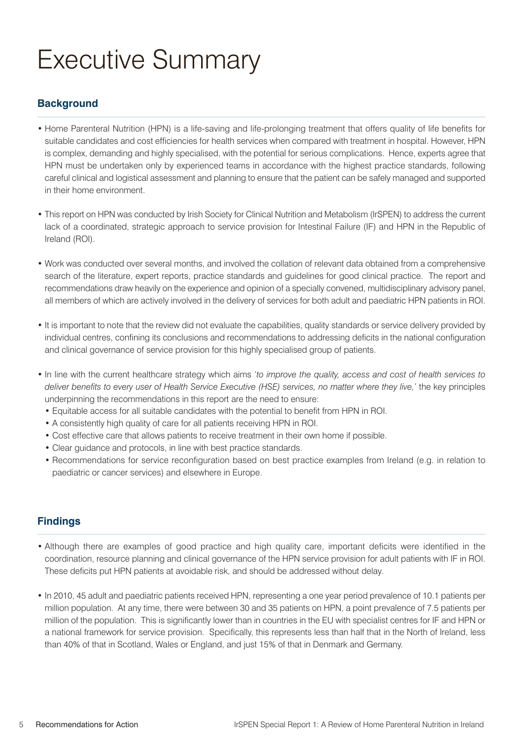## Executive Summary

#### **Background**

- Home Parenteral Nutrition (HPN) is a life-saving and life-prolonging treatment that offers quality of life benefits for suitable candidates and cost efficiencies for health services when compared with treatment in hospital. However, HPN is complex, demanding and highly specialised, with the potential for serious complications. Hence, experts agree that HPN must be undertaken only by experienced teams in accordance with the highest practice standards, following careful clinical and logistical assessment and planning to ensure that the patient can be safely managed and supported in their home environment.
- This report on HPN was conducted by Irish Society for Clinical Nutrition and Metabolism (IrSPEN) to address the current lack of a coordinated, strategic approach to service provision for Intestinal Failure (IF) and HPN in the Republic of Ireland (ROI).
- Work was conducted over several months, and involved the collation of relevant data obtained from a comprehensive search of the literature, expert reports, practice standards and guidelines for good clinical practice. The report and recommendations draw heavily on the experience and opinion of a specially convened, multidisciplinary advisory panel, all members of which are actively involved in the delivery of services for both adult and paediatric HPN patients in ROI.
- It is important to note that the review did not evaluate the capabilities, quality standards or service delivery provided by individual centres, confining its conclusions and recommendations to addressing deficits in the national configuration and clinical governance of service provision for this highly specialised group of patients.
- In line with the current healthcare strategy which aims '*to improve the quality, access and cost of health services to* deliver benefits to every user of Health Service Executive (HSE) services, no matter where they live,' the key principles underpinning the recommendations in this report are the need to ensure:
	- Equitable access for all suitable candidates with the potential to benefit from HPN in ROI.
	- A consistently high quality of care for all patients receiving HPN in ROI.
	- Cost effective care that allows patients to receive treatment in their own home if possible.
	- Clear guidance and protocols, in line with best practice standards.
	- Recommendations for service reconfiguration based on best practice examples from Ireland (e.g. in relation to paediatric or cancer services) and elsewhere in Europe.

#### **Findings**

- Although there are examples of good practice and high quality care, important deficits were identified in the coordination, resource planning and clinical governance of the HPN service provision for adult patients with IF in ROI. These deficits put HPN patients at avoidable risk, and should be addressed without delay.
- In 2010, 45 adult and paediatric patients received HPN, representing a one year period prevalence of 10.1 patients per million population. At any time, there were between 30 and 35 patients on HPN, a point prevalence of 7.5 patients per million of the population. This is significantly lower than in countries in the EU with specialist centres for IF and HPN or a national framework for service provision. Specifically, this represents less than half that in the North of Ireland, less than 40% of that in Scotland, Wales or England, and just 15% of that in Denmark and Germany.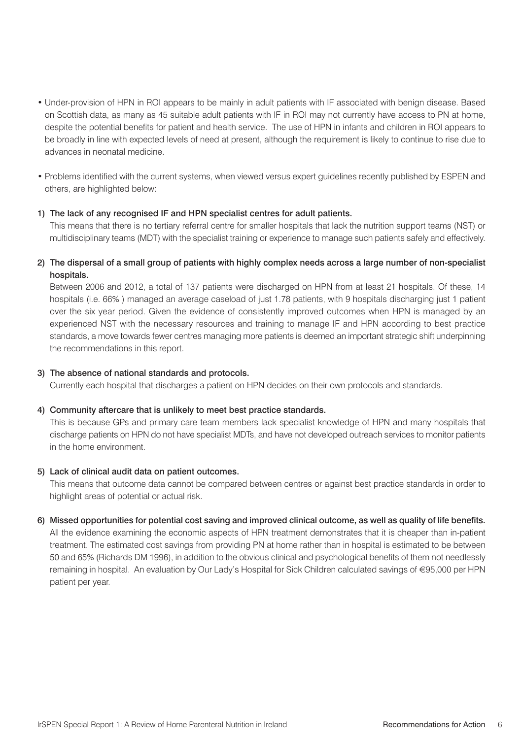- Under-provision of HPN in ROI appears to be mainly in adult patients with IF associated with benign disease. Based on Scottish data, as many as 45 suitable adult patients with IF in ROI may not currently have access to PN at home, despite the potential benefits for patient and health service. The use of HPN in infants and children in ROI appears to be broadly in line with expected levels of need at present, although the requirement is likely to continue to rise due to advances in neonatal medicine.
- Problems identified with the current systems, when viewed versus expert guidelines recently published by ESPEN and others, are highlighted below:

#### 1) The lack of any recognised IF and HPN specialist centres for adult patients.

This means that there is no tertiary referral centre for smaller hospitals that lack the nutrition support teams (NST) or multidisciplinary teams (MDT) with the specialist training or experience to manage such patients safely and effectively.

2) The dispersal of a small group of patients with highly complex needs across a large number of non-specialist hospitals.

Between 2006 and 2012, a total of 137 patients were discharged on HPN from at least 21 hospitals. Of these, 14 hospitals (i.e. 66% ) managed an average caseload of just 1.78 patients, with 9 hospitals discharging just 1 patient over the six year period. Given the evidence of consistently improved outcomes when HPN is managed by an experienced NST with the necessary resources and training to manage IF and HPN according to best practice standards, a move towards fewer centres managing more patients is deemed an important strategic shift underpinning the recommendations in this report.

#### 3) The absence of national standards and protocols.

Currently each hospital that discharges a patient on HPN decides on their own protocols and standards.

#### 4) Community aftercare that is unlikely to meet best practice standards.

This is because GPs and primary care team members lack specialist knowledge of HPN and many hospitals that discharge patients on HPN do not have specialist MDTs, and have not developed outreach services to monitor patients in the home environment.

#### 5) Lack of clinical audit data on patient outcomes.

This means that outcome data cannot be compared between centres or against best practice standards in order to highlight areas of potential or actual risk.

#### 6) Missed opportunities for potential cost saving and improved clinical outcome, as well as quality of life benefits.

All the evidence examining the economic aspects of HPN treatment demonstrates that it is cheaper than in-patient treatment. The estimated cost savings from providing PN at home rather than in hospital is estimated to be between 50 and 65% (Richards DM 1996), in addition to the obvious clinical and psychological benefits of them not needlessly remaining in hospital. An evaluation by Our Lady's Hospital for Sick Children calculated savings of €95,000 per HPN patient per year.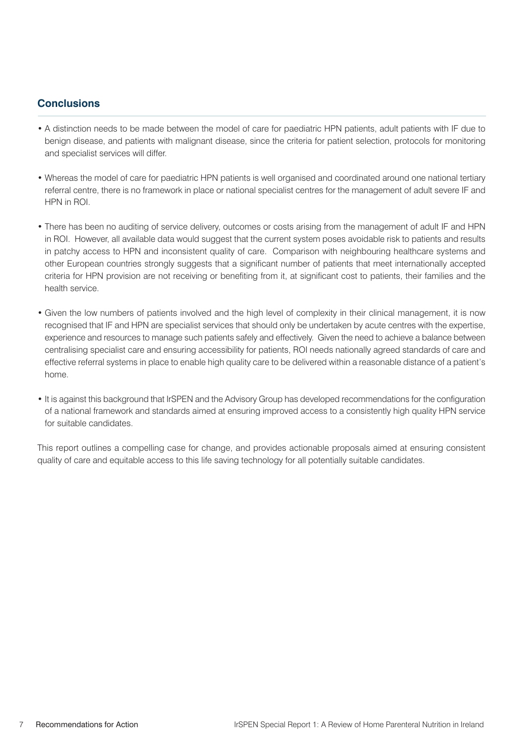#### **Conclusions**

- A distinction needs to be made between the model of care for paediatric HPN patients, adult patients with IF due to benign disease, and patients with malignant disease, since the criteria for patient selection, protocols for monitoring and specialist services will differ.
- Whereas the model of care for paediatric HPN patients is well organised and coordinated around one national tertiary referral centre, there is no framework in place or national specialist centres for the management of adult severe IF and HPN in ROI.
- There has been no auditing of service delivery, outcomes or costs arising from the management of adult IF and HPN in ROI. However, all available data would suggest that the current system poses avoidable risk to patients and results in patchy access to HPN and inconsistent quality of care. Comparison with neighbouring healthcare systems and other European countries strongly suggests that a significant number of patients that meet internationally accepted criteria for HPN provision are not receiving or benefiting from it, at significant cost to patients, their families and the health service.
- Given the low numbers of patients involved and the high level of complexity in their clinical management, it is now recognised that IF and HPN are specialist services that should only be undertaken by acute centres with the expertise, experience and resources to manage such patients safely and effectively. Given the need to achieve a balance between centralising specialist care and ensuring accessibility for patients, ROI needs nationally agreed standards of care and effective referral systems in place to enable high quality care to be delivered within a reasonable distance of a patient's home.
- It is against this background that IrSPEN and the Advisory Group has developed recommendations for the configuration of a national framework and standards aimed at ensuring improved access to a consistently high quality HPN service for suitable candidates.

This report outlines a compelling case for change, and provides actionable proposals aimed at ensuring consistent quality of care and equitable access to this life saving technology for all potentially suitable candidates.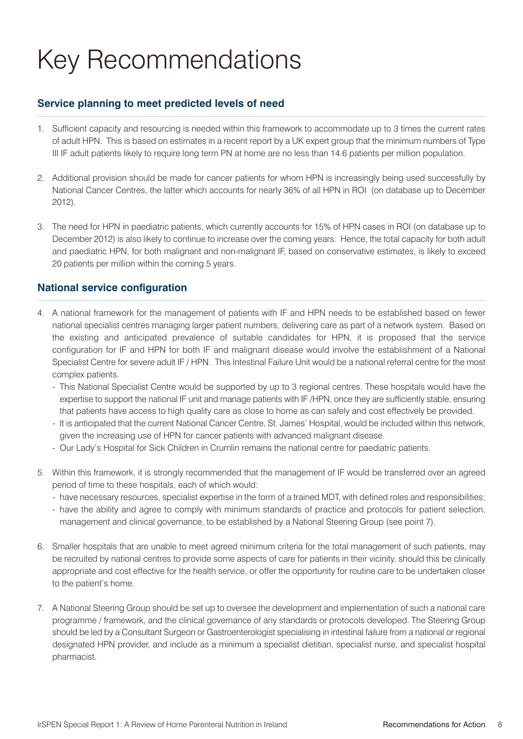# Key Recommendations

#### **Service planning to meet predicted levels of need**

- 1. Sufficient capacity and resourcing is needed within this framework to accommodate up to 3 times the current rates of adult HPN. This is based on estimates in a recent report by a UK expert group that the minimum numbers of Type III IF adult patients likely to require long term PN at home are no less than 14.6 patients per million population.
- 2. Additional provision should be made for cancer patients for whom HPN is increasingly being used successfully by National Cancer Centres, the latter which accounts for nearly 36% of all HPN in ROI (on database up to December 2012).
- 3. The need for HPN in paediatric patients, which currently accounts for 15% of HPN cases in ROI (on database up to December 2012) is also likely to continue to increase over the coming years. Hence, the total capacity for both adult and paediatric HPN, for both malignant and non-malignant IF, based on conservative estimates, is likely to exceed 20 patients per million within the coming 5 years.

#### **National service configuration**

- 4. A national framework for the management of patients with IF and HPN needs to be established based on fewer national specialist centres managing larger patient numbers, delivering care as part of a network system. Based on the existing and anticipated prevalence of suitable candidates for HPN, it is proposed that the service configuration for IF and HPN for both IF and malignant disease would involve the establishment of a National Specialist Centre for severe adult IF / HPN. This Intestinal Failure Unit would be a national referral centre for the most complex patients.
	- This National Specialist Centre would be supported by up to 3 regional centres. These hospitals would have the expertise to support the national IF unit and manage patients with IF /HPN, once they are sufficiently stable, ensuring that patients have access to high quality care as close to home as can safely and cost effectively be provided.
	- It is anticipated that the current National Cancer Centre, St. James' Hospital, would be included within this network, given the increasing use of HPN for cancer patients with advanced malignant disease.
	- Our Lady's Hospital for Sick Children in Crumlin remains the national centre for paediatric patients.
- 5. Within this framework, it is strongly recommended that the management of IF would be transferred over an agreed period of time to these hospitals, each of which would:
	- have necessary resources, specialist expertise in the form of a trained MDT, with defined roles and responsibilities;
	- have the ability and agree to comply with minimum standards of practice and protocols for patient selection, management and clinical governance, to be established by a National Steering Group (see point 7).
- 6. Smaller hospitals that are unable to meet agreed minimum criteria for the total management of such patients, may be recruited by national centres to provide some aspects of care for patients in their vicinity, should this be clinically appropriate and cost effective for the health service, or offer the opportunity for routine care to be undertaken closer to the patient's home.
- 7. A National Steering Group should be set up to oversee the development and implementation of such a national care programme / framework, and the clinical governance of any standards or protocols developed. The Steering Group should be led by a Consultant Surgeon or Gastroenterologist specialising in intestinal failure from a national or regional designated HPN provider, and include as a minimum a specialist dietitian, specialist nurse, and specialist hospital pharmacist.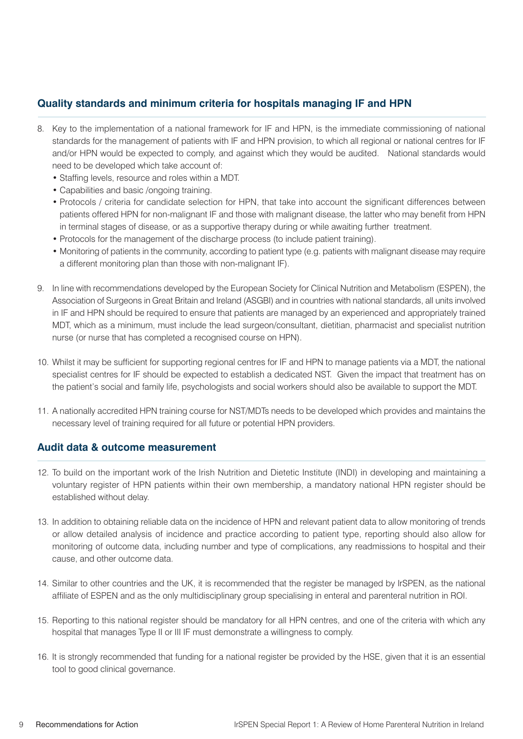#### **Quality standards and minimum criteria for hospitals managing IF and HPN**

- 8. Key to the implementation of a national framework for IF and HPN, is the immediate commissioning of national standards for the management of patients with IF and HPN provision, to which all regional or national centres for IF and/or HPN would be expected to comply, and against which they would be audited. National standards would need to be developed which take account of:
	- Staffing levels, resource and roles within a MDT.
	- Capabilities and basic /ongoing training.
	- Protocols / criteria for candidate selection for HPN, that take into account the significant differences between patients offered HPN for non-malignant IF and those with malignant disease, the latter who may benefit from HPN in terminal stages of disease, or as a supportive therapy during or while awaiting further treatment.
	- Protocols for the management of the discharge process (to include patient training).
	- Monitoring of patients in the community, according to patient type (e.g. patients with malignant disease may require a different monitoring plan than those with non-malignant IF).
- 9. In line with recommendations developed by the European Society for Clinical Nutrition and Metabolism (ESPEN), the Association of Surgeons in Great Britain and Ireland (ASGBI) and in countries with national standards, all units involved in IF and HPN should be required to ensure that patients are managed by an experienced and appropriately trained MDT, which as a minimum, must include the lead surgeon/consultant, dietitian, pharmacist and specialist nutrition nurse (or nurse that has completed a recognised course on HPN).
- 10. Whilst it may be sufficient for supporting regional centres for IF and HPN to manage patients via a MDT, the national specialist centres for IF should be expected to establish a dedicated NST. Given the impact that treatment has on the patient's social and family life, psychologists and social workers should also be available to support the MDT.
- 11. A nationally accredited HPN training course for NST/MDTs needs to be developed which provides and maintains the necessary level of training required for all future or potential HPN providers.

#### **Audit data & outcome measurement**

- 12. To build on the important work of the Irish Nutrition and Dietetic Institute (INDI) in developing and maintaining a voluntary register of HPN patients within their own membership, a mandatory national HPN register should be established without delay.
- 13. In addition to obtaining reliable data on the incidence of HPN and relevant patient data to allow monitoring of trends or allow detailed analysis of incidence and practice according to patient type, reporting should also allow for monitoring of outcome data, including number and type of complications, any readmissions to hospital and their cause, and other outcome data.
- 14. Similar to other countries and the UK, it is recommended that the register be managed by IrSPEN, as the national affiliate of ESPEN and as the only multidisciplinary group specialising in enteral and parenteral nutrition in ROI.
- 15. Reporting to this national register should be mandatory for all HPN centres, and one of the criteria with which any hospital that manages Type II or III IF must demonstrate a willingness to comply.
- 16. It is strongly recommended that funding for a national register be provided by the HSE, given that it is an essential tool to good clinical governance.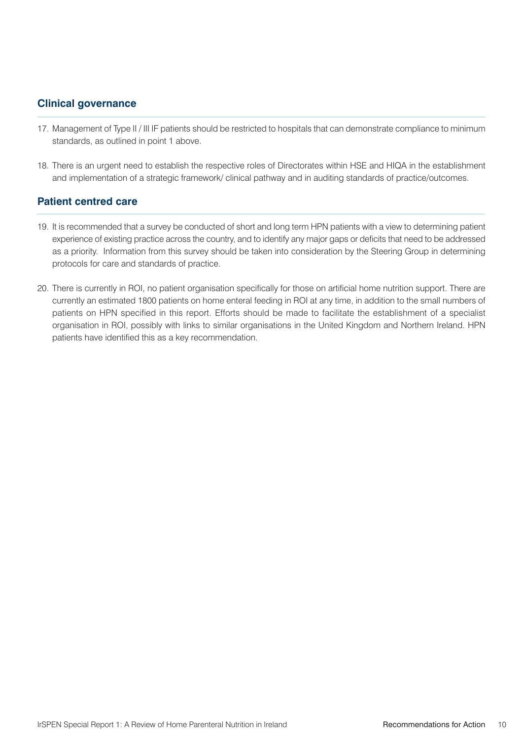#### **Clinical governance**

- 17. Management of Type II / III IF patients should be restricted to hospitals that can demonstrate compliance to minimum standards, as outlined in point 1 above.
- 18. There is an urgent need to establish the respective roles of Directorates within HSE and HIQA in the establishment and implementation of a strategic framework/ clinical pathway and in auditing standards of practice/outcomes.

#### **Patient centred care**

- 19. It is recommended that a survey be conducted of short and long term HPN patients with a view to determining patient experience of existing practice across the country, and to identify any major gaps or deficits that need to be addressed as a priority. Information from this survey should be taken into consideration by the Steering Group in determining protocols for care and standards of practice.
- 20. There is currently in ROI, no patient organisation specifically for those on artificial home nutrition support. There are currently an estimated 1800 patients on home enteral feeding in ROI at any time, in addition to the small numbers of patients on HPN specified in this report. Efforts should be made to facilitate the establishment of a specialist organisation in ROI, possibly with links to similar organisations in the United Kingdom and Northern Ireland. HPN patients have identified this as a key recommendation.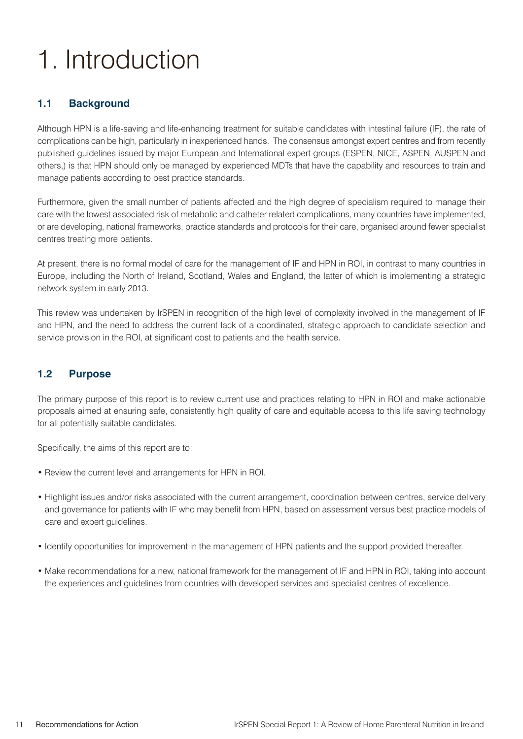# 1. Introduction

#### **1.1 Background**

Although HPN is a life-saving and life-enhancing treatment for suitable candidates with intestinal failure (IF), the rate of complications can be high, particularly in inexperienced hands. The consensus amongst expert centres and from recently published guidelines issued by major European and International expert groups (ESPEN, NICE, ASPEN, AUSPEN and others,) is that HPN should only be managed by experienced MDTs that have the capability and resources to train and manage patients according to best practice standards.

Furthermore, given the small number of patients affected and the high degree of specialism required to manage their care with the lowest associated risk of metabolic and catheter related complications, many countries have implemented, or are developing, national frameworks, practice standards and protocols for their care, organised around fewer specialist centres treating more patients.

At present, there is no formal model of care for the management of IF and HPN in ROI, in contrast to many countries in Europe, including the North of Ireland, Scotland, Wales and England, the latter of which is implementing a strategic network system in early 2013.

This review was undertaken by IrSPEN in recognition of the high level of complexity involved in the management of IF and HPN, and the need to address the current lack of a coordinated, strategic approach to candidate selection and service provision in the ROI, at significant cost to patients and the health service.

#### **1.2 Purpose**

The primary purpose of this report is to review current use and practices relating to HPN in ROI and make actionable proposals aimed at ensuring safe, consistently high quality of care and equitable access to this life saving technology for all potentially suitable candidates.

Specifically, the aims of this report are to:

- Review the current level and arrangements for HPN in ROI.
- Highlight issues and/or risks associated with the current arrangement, coordination between centres, service delivery and governance for patients with IF who may benefit from HPN, based on assessment versus best practice models of care and expert guidelines.
- Identify opportunities for improvement in the management of HPN patients and the support provided thereafter.
- Make recommendations for a new, national framework for the management of IF and HPN in ROI, taking into account the experiences and guidelines from countries with developed services and specialist centres of excellence.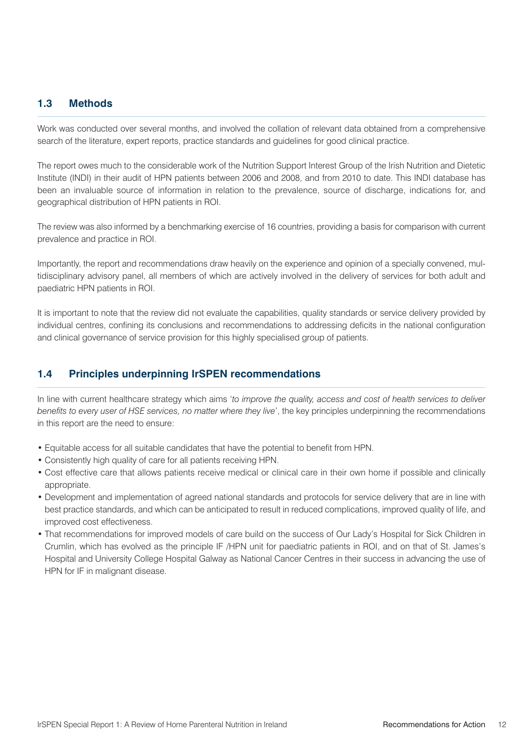#### **1.3 Methods**

Work was conducted over several months, and involved the collation of relevant data obtained from a comprehensive search of the literature, expert reports, practice standards and guidelines for good clinical practice.

The report owes much to the considerable work of the Nutrition Support Interest Group of the Irish Nutrition and Dietetic Institute (INDI) in their audit of HPN patients between 2006 and 2008, and from 2010 to date. This INDI database has been an invaluable source of information in relation to the prevalence, source of discharge, indications for, and geographical distribution of HPN patients in ROI.

The review was also informed by a benchmarking exercise of 16 countries, providing a basis for comparison with current prevalence and practice in ROI.

Importantly, the report and recommendations draw heavily on the experience and opinion of a specially convened, multidisciplinary advisory panel, all members of which are actively involved in the delivery of services for both adult and paediatric HPN patients in ROI.

It is important to note that the review did not evaluate the capabilities, quality standards or service delivery provided by individual centres, confining its conclusions and recommendations to addressing deficits in the national configuration and clinical governance of service provision for this highly specialised group of patients.

#### **1.4 Principles underpinning IrSPEN recommendations**

In line with current healthcare strategy which aims '*to improve the quality, access and cost of health services to deliver benefits to every user of HSE services, no matter where they live*', the key principles underpinning the recommendations in this report are the need to ensure:

- Equitable access for all suitable candidates that have the potential to benefit from HPN.
- Consistently high quality of care for all patients receiving HPN.
- Cost effective care that allows patients receive medical or clinical care in their own home if possible and clinically appropriate.
- Development and implementation of agreed national standards and protocols for service delivery that are in line with best practice standards, and which can be anticipated to result in reduced complications, improved quality of life, and improved cost effectiveness.
- That recommendations for improved models of care build on the success of Our Lady's Hospital for Sick Children in Crumlin, which has evolved as the principle IF /HPN unit for paediatric patients in ROI, and on that of St. James's Hospital and University College Hospital Galway as National Cancer Centres in their success in advancing the use of HPN for IF in malignant disease.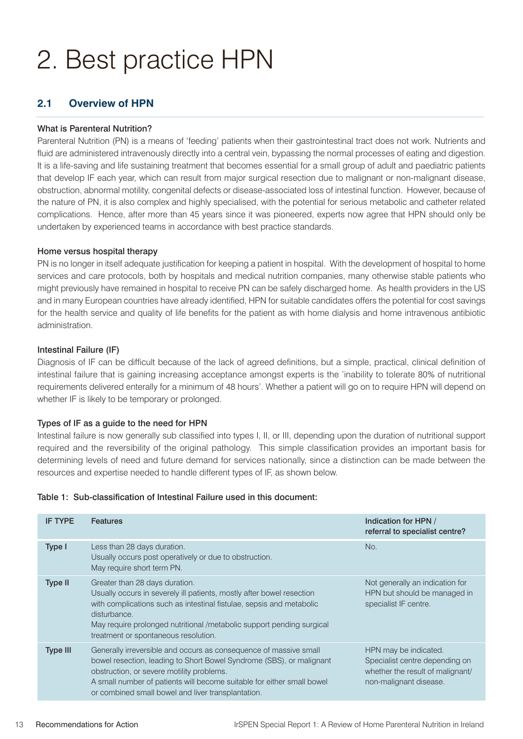# 2. Best practice HPN

#### **2.1 Overview of HPN**

#### What is Parenteral Nutrition?

Parenteral Nutrition (PN) is a means of 'feeding' patients when their gastrointestinal tract does not work. Nutrients and fluid are administered intravenously directly into a central vein, bypassing the normal processes of eating and digestion. It is a life-saving and life sustaining treatment that becomes essential for a small group of adult and paediatric patients that develop IF each year, which can result from major surgical resection due to malignant or non-malignant disease, obstruction, abnormal motility, congenital defects or disease-associated loss of intestinal function. However, because of the nature of PN, it is also complex and highly specialised, with the potential for serious metabolic and catheter related complications. Hence, after more than 45 years since it was pioneered, experts now agree that HPN should only be undertaken by experienced teams in accordance with best practice standards.

#### Home versus hospital therapy

PN is no longer in itself adequate justification for keeping a patient in hospital. With the development of hospital to home services and care protocols, both by hospitals and medical nutrition companies, many otherwise stable patients who might previously have remained in hospital to receive PN can be safely discharged home. As health providers in the US and in many European countries have already identified, HPN for suitable candidates offers the potential for cost savings for the health service and quality of life benefits for the patient as with home dialysis and home intravenous antibiotic administration.

#### Intestinal Failure (IF)

Diagnosis of IF can be difficult because of the lack of agreed definitions, but a simple, practical, clinical definition of intestinal failure that is gaining increasing acceptance amongst experts is the 'inability to tolerate 80% of nutritional requirements delivered enterally for a minimum of 48 hours'. Whether a patient will go on to require HPN will depend on whether IF is likely to be temporary or prolonged.

#### Types of IF as a guide to the need for HPN

Intestinal failure is now generally sub classified into types I, II, or III, depending upon the duration of nutritional support required and the reversibility of the original pathology. This simple classification provides an important basis for determining levels of need and future demand for services nationally, since a distinction can be made between the resources and expertise needed to handle different types of IF, as shown below.

| Table 1: Sub-classification of Intestinal Failure used in this document: |  |
|--------------------------------------------------------------------------|--|
|--------------------------------------------------------------------------|--|

| <b>IF TYPE</b>  | <b>Features</b>                                                                                                                                                                                                                                                                                                        | Indication for HPN /<br>referral to specialist centre?                                                                |
|-----------------|------------------------------------------------------------------------------------------------------------------------------------------------------------------------------------------------------------------------------------------------------------------------------------------------------------------------|-----------------------------------------------------------------------------------------------------------------------|
| Type I          | Less than 28 days duration.<br>Usually occurs post operatively or due to obstruction.<br>May require short term PN.                                                                                                                                                                                                    | No.                                                                                                                   |
| Type II         | Greater than 28 days duration.<br>Usually occurs in severely ill patients, mostly after bowel resection<br>with complications such as intestinal fistulae, sepsis and metabolic<br>disturbance.<br>May require prolonged nutritional /metabolic support pending surgical<br>treatment or spontaneous resolution.       | Not generally an indication for<br>HPN but should be managed in<br>specialist IF centre.                              |
| <b>Type III</b> | Generally irreversible and occurs as consequence of massive small<br>bowel resection, leading to Short Bowel Syndrome (SBS), or malignant<br>obstruction, or severe motility problems.<br>A small number of patients will become suitable for either small bowel<br>or combined small bowel and liver transplantation. | HPN may be indicated.<br>Specialist centre depending on<br>whether the result of malignant/<br>non-malignant disease. |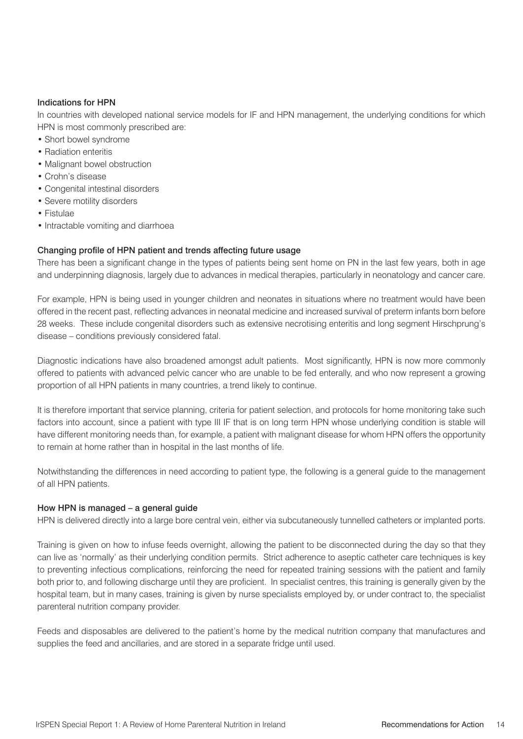#### Indications for HPN

In countries with developed national service models for IF and HPN management, the underlying conditions for which HPN is most commonly prescribed are:

- Short bowel syndrome
- Radiation enteritis
- Malignant bowel obstruction
- Crohn's disease
- Congenital intestinal disorders
- Severe motility disorders
- Fistulae
- Intractable vomiting and diarrhoea

#### Changing profile of HPN patient and trends affecting future usage

There has been a significant change in the types of patients being sent home on PN in the last few years, both in age and underpinning diagnosis, largely due to advances in medical therapies, particularly in neonatology and cancer care.

For example, HPN is being used in younger children and neonates in situations where no treatment would have been offered in the recent past, reflecting advances in neonatal medicine and increased survival of preterm infants born before 28 weeks. These include congenital disorders such as extensive necrotising enteritis and long segment Hirschprung's disease – conditions previously considered fatal.

Diagnostic indications have also broadened amongst adult patients. Most significantly, HPN is now more commonly offered to patients with advanced pelvic cancer who are unable to be fed enterally, and who now represent a growing proportion of all HPN patients in many countries, a trend likely to continue.

It is therefore important that service planning, criteria for patient selection, and protocols for home monitoring take such factors into account, since a patient with type III IF that is on long term HPN whose underlying condition is stable will have different monitoring needs than, for example, a patient with malignant disease for whom HPN offers the opportunity to remain at home rather than in hospital in the last months of life.

Notwithstanding the differences in need according to patient type, the following is a general guide to the management of all HPN patients.

#### How HPN is managed – a general guide

HPN is delivered directly into a large bore central vein, either via subcutaneously tunnelled catheters or implanted ports.

Training is given on how to infuse feeds overnight, allowing the patient to be disconnected during the day so that they can live as 'normally' as their underlying condition permits. Strict adherence to aseptic catheter care techniques is key to preventing infectious complications, reinforcing the need for repeated training sessions with the patient and family both prior to, and following discharge until they are proficient. In specialist centres, this training is generally given by the hospital team, but in many cases, training is given by nurse specialists employed by, or under contract to, the specialist parenteral nutrition company provider.

Feeds and disposables are delivered to the patient's home by the medical nutrition company that manufactures and supplies the feed and ancillaries, and are stored in a separate fridge until used.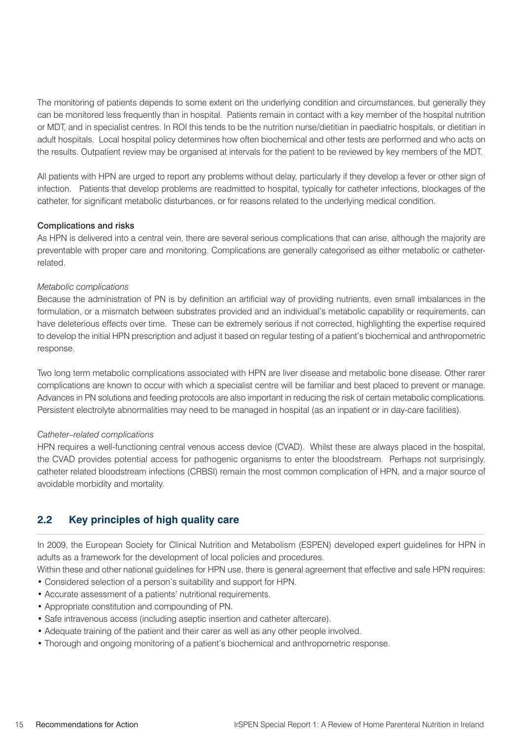The monitoring of patients depends to some extent on the underlying condition and circumstances, but generally they can be monitored less frequently than in hospital. Patients remain in contact with a key member of the hospital nutrition or MDT, and in specialist centres. In ROI this tends to be the nutrition nurse/dietitian in paediatric hospitals, or dietitian in adult hospitals. Local hospital policy determines how often biochemical and other tests are performed and who acts on the results. Outpatient review may be organised at intervals for the patient to be reviewed by key members of the MDT.

All patients with HPN are urged to report any problems without delay, particularly if they develop a fever or other sign of infection. Patients that develop problems are readmitted to hospital, typically for catheter infections, blockages of the catheter, for significant metabolic disturbances, or for reasons related to the underlying medical condition.

#### Complications and risks

As HPN is delivered into a central vein, there are several serious complications that can arise, although the majority are preventable with proper care and monitoring. Complications are generally categorised as either metabolic or catheterrelated.

#### *Metabolic complications*

Because the administration of PN is by definition an artificial way of providing nutrients, even small imbalances in the formulation, or a mismatch between substrates provided and an individual's metabolic capability or requirements, can have deleterious effects over time. These can be extremely serious if not corrected, highlighting the expertise required to develop the initial HPN prescription and adjust it based on regular testing of a patient's biochemical and anthropometric response.

Two long term metabolic complications associated with HPN are liver disease and metabolic bone disease. Other rarer complications are known to occur with which a specialist centre will be familiar and best placed to prevent or manage. Advances in PN solutions and feeding protocols are also important in reducing the risk of certain metabolic complications. Persistent electrolyte abnormalities may need to be managed in hospital (as an inpatient or in day-care facilities).

#### *Catheter–related complications*

HPN requires a well-functioning central venous access device (CVAD). Whilst these are always placed in the hospital, the CVAD provides potential access for pathogenic organisms to enter the bloodstream. Perhaps not surprisingly, catheter related bloodstream infections (CRBSI) remain the most common complication of HPN, and a major source of avoidable morbidity and mortality.

#### **2.2 Key principles of high quality care**

In 2009, the European Society for Clinical Nutrition and Metabolism (ESPEN) developed expert guidelines for HPN in adults as a framework for the development of local policies and procedures.

- Within these and other national guidelines for HPN use, there is general agreement that effective and safe HPN requires:
- Considered selection of a person's suitability and support for HPN.
- Accurate assessment of a patients' nutritional requirements.
- Appropriate constitution and compounding of PN.
- Safe intravenous access (including aseptic insertion and catheter aftercare).
- Adequate training of the patient and their carer as well as any other people involved.
- Thorough and ongoing monitoring of a patient's biochemical and anthropometric response.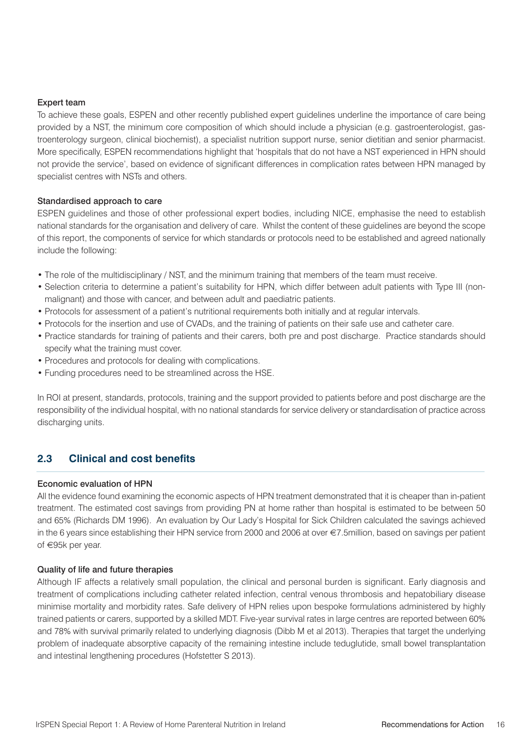#### Expert team

To achieve these goals, ESPEN and other recently published expert guidelines underline the importance of care being provided by a NST, the minimum core composition of which should include a physician (e.g. gastroenterologist, gastroenterology surgeon, clinical biochemist), a specialist nutrition support nurse, senior dietitian and senior pharmacist. More specifically, ESPEN recommendations highlight that 'hospitals that do not have a NST experienced in HPN should not provide the service', based on evidence of significant differences in complication rates between HPN managed by specialist centres with NSTs and others.

#### Standardised approach to care

ESPEN guidelines and those of other professional expert bodies, including NICE, emphasise the need to establish national standards for the organisation and delivery of care. Whilst the content of these guidelines are beyond the scope of this report, the components of service for which standards or protocols need to be established and agreed nationally include the following:

- The role of the multidisciplinary / NST, and the minimum training that members of the team must receive.
- Selection criteria to determine a patient's suitability for HPN, which differ between adult patients with Type III (nonmalignant) and those with cancer, and between adult and paediatric patients.
- Protocols for assessment of a patient's nutritional requirements both initially and at regular intervals.
- Protocols for the insertion and use of CVADs, and the training of patients on their safe use and catheter care.
- Practice standards for training of patients and their carers, both pre and post discharge. Practice standards should specify what the training must cover.
- Procedures and protocols for dealing with complications.
- Funding procedures need to be streamlined across the HSE.

In ROI at present, standards, protocols, training and the support provided to patients before and post discharge are the responsibility of the individual hospital, with no national standards for service delivery or standardisation of practice across discharging units.

#### **2.3 Clinical and cost benefits**

#### Economic evaluation of HPN

All the evidence found examining the economic aspects of HPN treatment demonstrated that it is cheaper than in-patient treatment. The estimated cost savings from providing PN at home rather than hospital is estimated to be between 50 and 65% (Richards DM 1996). An evaluation by Our Lady's Hospital for Sick Children calculated the savings achieved in the 6 years since establishing their HPN service from 2000 and 2006 at over €7.5million, based on savings per patient of €95k per year.

#### Quality of life and future therapies

Although IF affects a relatively small population, the clinical and personal burden is significant. Early diagnosis and treatment of complications including catheter related infection, central venous thrombosis and hepatobiliary disease minimise mortality and morbidity rates. Safe delivery of HPN relies upon bespoke formulations administered by highly trained patients or carers, supported by a skilled MDT. Five-year survival rates in large centres are reported between 60% and 78% with survival primarily related to underlying diagnosis (Dibb M et al 2013). Therapies that target the underlying problem of inadequate absorptive capacity of the remaining intestine include teduglutide, small bowel transplantation and intestinal lengthening procedures (Hofstetter S 2013).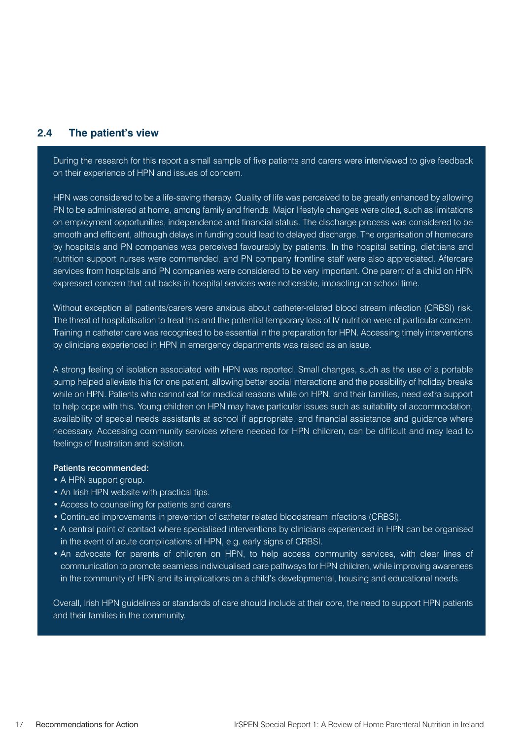#### **2.4 The patient's view**

During the research for this report a small sample of five patients and carers were interviewed to give feedback on their experience of HPN and issues of concern.

HPN was considered to be a life-saving therapy. Quality of life was perceived to be greatly enhanced by allowing PN to be administered at home, among family and friends. Major lifestyle changes were cited, such as limitations on employment opportunities, independence and financial status. The discharge process was considered to be smooth and efficient, although delays in funding could lead to delayed discharge. The organisation of homecare by hospitals and PN companies was perceived favourably by patients. In the hospital setting, dietitians and nutrition support nurses were commended, and PN company frontline staff were also appreciated. Aftercare services from hospitals and PN companies were considered to be very important. One parent of a child on HPN expressed concern that cut backs in hospital services were noticeable, impacting on school time.

Without exception all patients/carers were anxious about catheter-related blood stream infection (CRBSI) risk. The threat of hospitalisation to treat this and the potential temporary loss of IV nutrition were of particular concern. Training in catheter care was recognised to be essential in the preparation for HPN. Accessing timely interventions by clinicians experienced in HPN in emergency departments was raised as an issue.

A strong feeling of isolation associated with HPN was reported. Small changes, such as the use of a portable pump helped alleviate this for one patient, allowing better social interactions and the possibility of holiday breaks while on HPN. Patients who cannot eat for medical reasons while on HPN, and their families, need extra support to help cope with this. Young children on HPN may have particular issues such as suitability of accommodation, availability of special needs assistants at school if appropriate, and financial assistance and guidance where necessary. Accessing community services where needed for HPN children, can be difficult and may lead to feelings of frustration and isolation.

#### Patients recommended:

- A HPN support group.
- An Irish HPN website with practical tips.
- Access to counselling for patients and carers.
- Continued improvements in prevention of catheter related bloodstream infections (CRBSI).
- A central point of contact where specialised interventions by clinicians experienced in HPN can be organised in the event of acute complications of HPN, e.g. early signs of CRBSI.
- An advocate for parents of children on HPN, to help access community services, with clear lines of communication to promote seamless individualised care pathways for HPN children, while improving awareness in the community of HPN and its implications on a child's developmental, housing and educational needs.

Overall, Irish HPN guidelines or standards of care should include at their core, the need to support HPN patients and their families in the community.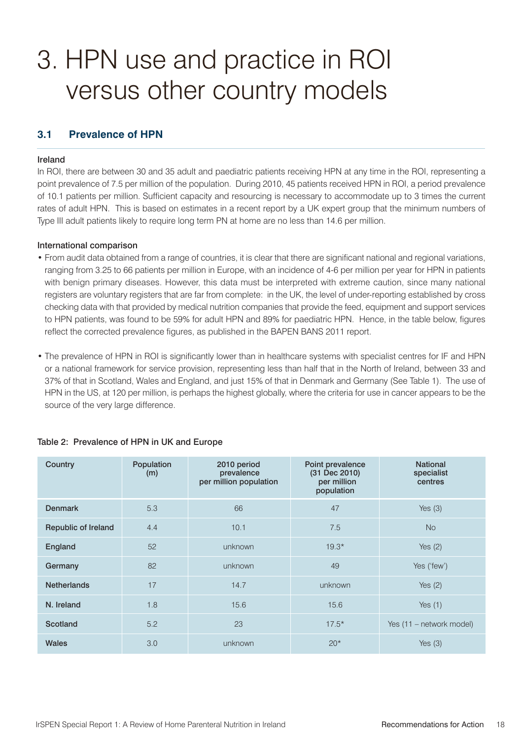### 3. HPN use and practice in ROI versus other country models

#### **3.1 Prevalence of HPN**

#### Ireland

In ROI, there are between 30 and 35 adult and paediatric patients receiving HPN at any time in the ROI, representing a point prevalence of 7.5 per million of the population. During 2010, 45 patients received HPN in ROI, a period prevalence of 10.1 patients per million. Sufficient capacity and resourcing is necessary to accommodate up to 3 times the current rates of adult HPN. This is based on estimates in a recent report by a UK expert group that the minimum numbers of Type III adult patients likely to require long term PN at home are no less than 14.6 per million.

#### International comparison

- From audit data obtained from a range of countries, it is clear that there are significant national and regional variations, ranging from 3.25 to 66 patients per million in Europe, with an incidence of 4-6 per million per year for HPN in patients with benign primary diseases. However, this data must be interpreted with extreme caution, since many national registers are voluntary registers that are far from complete: in the UK, the level of under-reporting established by cross checking data with that provided by medical nutrition companies that provide the feed, equipment and support services to HPN patients, was found to be 59% for adult HPN and 89% for paediatric HPN. Hence, in the table below, figures reflect the corrected prevalence figures, as published in the BAPEN BANS 2011 report.
- The prevalence of HPN in ROI is significantly lower than in healthcare systems with specialist centres for IF and HPN or a national framework for service provision, representing less than half that in the North of Ireland, between 33 and 37% of that in Scotland, Wales and England, and just 15% of that in Denmark and Germany (See Table 1). The use of HPN in the US, at 120 per million, is perhaps the highest globally, where the criteria for use in cancer appears to be the source of the very large difference.

| Country             | Population<br>(m) | 2010 period<br>prevalence<br>per million population | Point prevalence<br>(31 Dec 2010)<br>per million<br>population | <b>National</b><br>specialist<br>centres |
|---------------------|-------------------|-----------------------------------------------------|----------------------------------------------------------------|------------------------------------------|
| <b>Denmark</b>      | 5.3               | 66                                                  | 47                                                             | Yes $(3)$                                |
| Republic of Ireland | 4.4               | 10.1                                                | 7.5                                                            | <b>No</b>                                |
| England             | 52                | unknown                                             | $19.3*$                                                        | Yes $(2)$                                |
| Germany             | 82                | unknown                                             | 49                                                             | Yes ('few')                              |
| <b>Netherlands</b>  | 17                | 14.7                                                | unknown                                                        | Yes $(2)$                                |
| N. Ireland          | 1.8               | 15.6                                                | 15.6                                                           | Yes $(1)$                                |
| Scotland            | 5.2               | 23                                                  | $17.5*$                                                        | Yes (11 – network model)                 |
| <b>Wales</b>        | 3.0               | unknown                                             | $20*$                                                          | Yes $(3)$                                |

#### Table 2: Prevalence of HPN in UK and Europe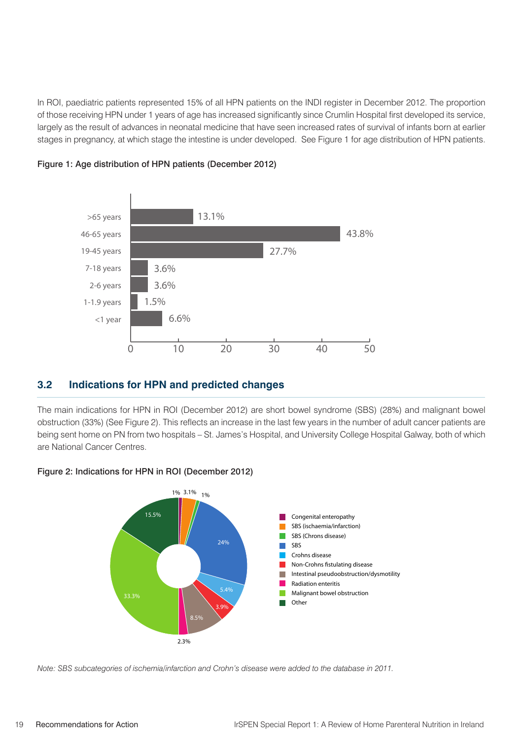In ROI, paediatric patients represented 15% of all HPN patients on the INDI register in December 2012. The proportion of those receiving HPN under 1 years of age has increased significantly since Crumlin Hospital first developed its service, largely as the result of advances in neonatal medicine that have seen increased rates of survival of infants born at earlier stages in pregnancy, at which stage the intestine is under developed. See Figure 1 for age distribution of HPN patients.





#### **3.2 Indications for HPN and predicted changes**

The main indications for HPN in ROI (December 2012) are short bowel syndrome (SBS) (28%) and malignant bowel obstruction (33%) (See Figure 2). This reflects an increase in the last few years in the number of adult cancer patients are being sent home on PN from two hospitals – St. James's Hospital, and University College Hospital Galway, both of which are National Cancer Centres.



#### Figure 2: Indications for HPN in ROI (December 2012)

*Note: SBS subcategories of ischemia/infarction and Crohn's disease were added to the database in 2011.*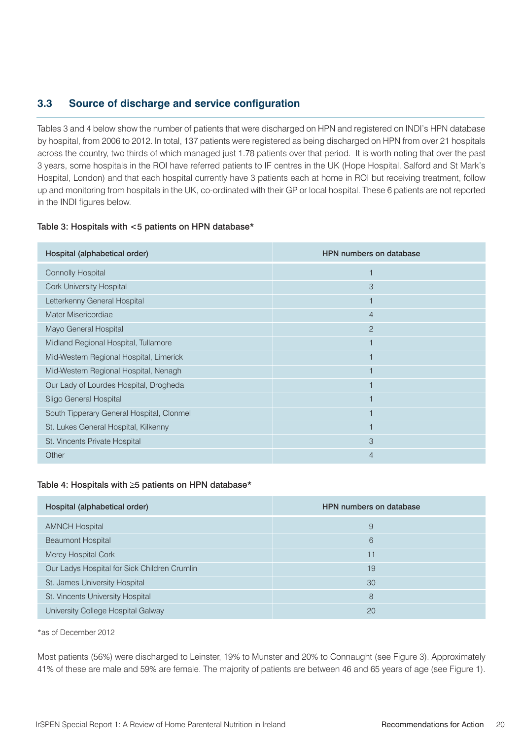#### **3.3 Source of discharge and service configuration**

Tables 3 and 4 below show the number of patients that were discharged on HPN and registered on INDI's HPN database by hospital, from 2006 to 2012. In total, 137 patients were registered as being discharged on HPN from over 21 hospitals across the country, two thirds of which managed just 1.78 patients over that period. It is worth noting that over the past 3 years, some hospitals in the ROI have referred patients to IF centres in the UK (Hope Hospital, Salford and St Mark's Hospital, London) and that each hospital currently have 3 patients each at home in ROI but receiving treatment, follow up and monitoring from hospitals in the UK, co-ordinated with their GP or local hospital. These 6 patients are not reported in the INDI figures below.

#### Table 3: Hospitals with <5 patients on HPN database\*

| Hospital (alphabetical order)             | <b>HPN numbers on database</b> |
|-------------------------------------------|--------------------------------|
| <b>Connolly Hospital</b>                  |                                |
| <b>Cork University Hospital</b>           | 3                              |
| Letterkenny General Hospital              |                                |
| Mater Misericordiae                       | $\overline{4}$                 |
| Mayo General Hospital                     | $\overline{2}$                 |
| Midland Regional Hospital, Tullamore      |                                |
| Mid-Western Regional Hospital, Limerick   |                                |
| Mid-Western Regional Hospital, Nenagh     |                                |
| Our Lady of Lourdes Hospital, Drogheda    |                                |
| Sligo General Hospital                    |                                |
| South Tipperary General Hospital, Clonmel | 1                              |
| St. Lukes General Hospital, Kilkenny      |                                |
| St. Vincents Private Hospital             | 3                              |
| Other                                     | 4                              |

#### Table 4: Hospitals with ≥5 patients on HPN database\*

| Hospital (alphabetical order)                | <b>HPN</b> numbers on database |
|----------------------------------------------|--------------------------------|
| <b>AMNCH Hospital</b>                        | 9                              |
| <b>Beaumont Hospital</b>                     | 6                              |
| Mercy Hospital Cork                          | 11                             |
| Our Ladys Hospital for Sick Children Crumlin | 19                             |
| St. James University Hospital                | 30                             |
| St. Vincents University Hospital             | 8                              |
| University College Hospital Galway           | 20                             |

\*as of December 2012

Most patients (56%) were discharged to Leinster, 19% to Munster and 20% to Connaught (see Figure 3). Approximately 41% of these are male and 59% are female. The majority of patients are between 46 and 65 years of age (see Figure 1).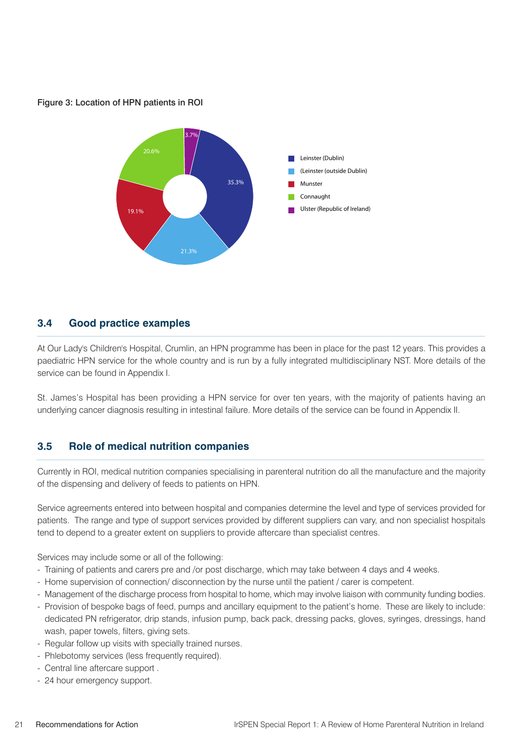#### Figure 3: Location of HPN patients in ROI



#### **3.4 Good practice examples**

At Our Lady's Children's Hospital, Crumlin, an HPN programme has been in place for the past 12 years. This provides a paediatric HPN service for the whole country and is run by a fully integrated multidisciplinary NST. More details of the service can be found in Appendix I.

St. James's Hospital has been providing a HPN service for over ten years, with the majority of patients having an underlying cancer diagnosis resulting in intestinal failure. More details of the service can be found in Appendix II.

#### **3.5 Role of medical nutrition companies**

Currently in ROI, medical nutrition companies specialising in parenteral nutrition do all the manufacture and the majority of the dispensing and delivery of feeds to patients on HPN.

Service agreements entered into between hospital and companies determine the level and type of services provided for patients. The range and type of support services provided by different suppliers can vary, and non specialist hospitals tend to depend to a greater extent on suppliers to provide aftercare than specialist centres.

Services may include some or all of the following:

- Training of patients and carers pre and /or post discharge, which may take between 4 days and 4 weeks.
- Home supervision of connection/ disconnection by the nurse until the patient / carer is competent.
- Management of the discharge process from hospital to home, which may involve liaison with community funding bodies.
- Provision of bespoke bags of feed, pumps and ancillary equipment to the patient's home. These are likely to include: dedicated PN refrigerator, drip stands, infusion pump, back pack, dressing packs, gloves, syringes, dressings, hand wash, paper towels, filters, giving sets.
- Regular follow up visits with specially trained nurses.
- Phlebotomy services (less frequently required).
- Central line aftercare support .
- 24 hour emergency support.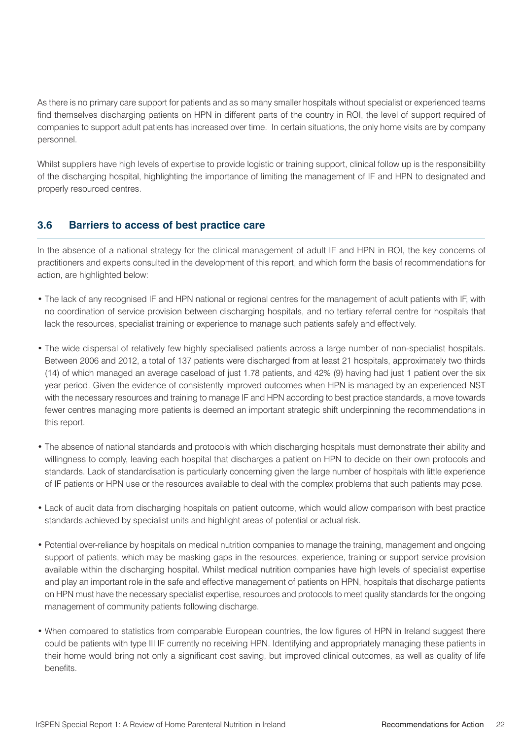As there is no primary care support for patients and as so many smaller hospitals without specialist or experienced teams find themselves discharging patients on HPN in different parts of the country in ROI, the level of support required of companies to support adult patients has increased over time. In certain situations, the only home visits are by company personnel.

Whilst suppliers have high levels of expertise to provide logistic or training support, clinical follow up is the responsibility of the discharging hospital, highlighting the importance of limiting the management of IF and HPN to designated and properly resourced centres.

#### **3.6 Barriers to access of best practice care**

In the absence of a national strategy for the clinical management of adult IF and HPN in ROI, the key concerns of practitioners and experts consulted in the development of this report, and which form the basis of recommendations for action, are highlighted below:

- The lack of any recognised IF and HPN national or regional centres for the management of adult patients with IF, with no coordination of service provision between discharging hospitals, and no tertiary referral centre for hospitals that lack the resources, specialist training or experience to manage such patients safely and effectively.
- The wide dispersal of relatively few highly specialised patients across a large number of non-specialist hospitals. Between 2006 and 2012, a total of 137 patients were discharged from at least 21 hospitals, approximately two thirds (14) of which managed an average caseload of just 1.78 patients, and 42% (9) having had just 1 patient over the six year period. Given the evidence of consistently improved outcomes when HPN is managed by an experienced NST with the necessary resources and training to manage IF and HPN according to best practice standards, a move towards fewer centres managing more patients is deemed an important strategic shift underpinning the recommendations in this report.
- The absence of national standards and protocols with which discharging hospitals must demonstrate their ability and willingness to comply, leaving each hospital that discharges a patient on HPN to decide on their own protocols and standards. Lack of standardisation is particularly concerning given the large number of hospitals with little experience of IF patients or HPN use or the resources available to deal with the complex problems that such patients may pose.
- Lack of audit data from discharging hospitals on patient outcome, which would allow comparison with best practice standards achieved by specialist units and highlight areas of potential or actual risk.
- Potential over-reliance by hospitals on medical nutrition companies to manage the training, management and ongoing support of patients, which may be masking gaps in the resources, experience, training or support service provision available within the discharging hospital. Whilst medical nutrition companies have high levels of specialist expertise and play an important role in the safe and effective management of patients on HPN, hospitals that discharge patients on HPN must have the necessary specialist expertise, resources and protocols to meet quality standards for the ongoing management of community patients following discharge.
- When compared to statistics from comparable European countries, the low figures of HPN in Ireland suggest there could be patients with type III IF currently no receiving HPN. Identifying and appropriately managing these patients in their home would bring not only a significant cost saving, but improved clinical outcomes, as well as quality of life benefits.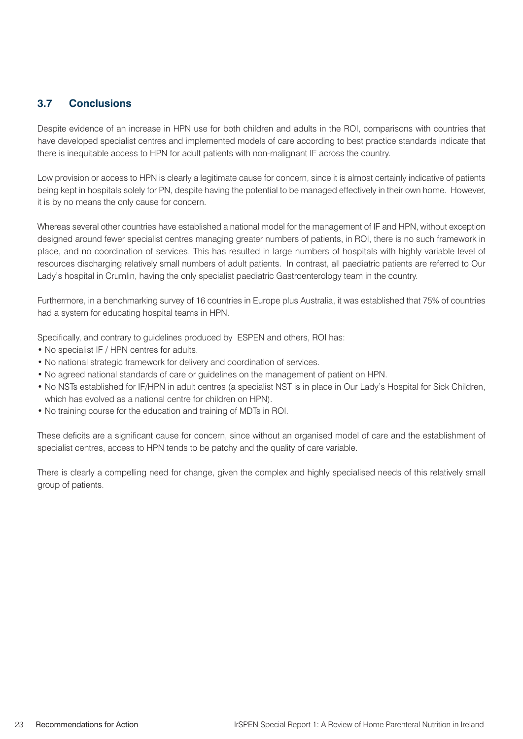#### **3.7 Conclusions**

Despite evidence of an increase in HPN use for both children and adults in the ROI, comparisons with countries that have developed specialist centres and implemented models of care according to best practice standards indicate that there is inequitable access to HPN for adult patients with non-malignant IF across the country.

Low provision or access to HPN is clearly a legitimate cause for concern, since it is almost certainly indicative of patients being kept in hospitals solely for PN, despite having the potential to be managed effectively in their own home. However, it is by no means the only cause for concern.

Whereas several other countries have established a national model for the management of IF and HPN, without exception designed around fewer specialist centres managing greater numbers of patients, in ROI, there is no such framework in place, and no coordination of services. This has resulted in large numbers of hospitals with highly variable level of resources discharging relatively small numbers of adult patients. In contrast, all paediatric patients are referred to Our Lady's hospital in Crumlin, having the only specialist paediatric Gastroenterology team in the country.

Furthermore, in a benchmarking survey of 16 countries in Europe plus Australia, it was established that 75% of countries had a system for educating hospital teams in HPN.

Specifically, and contrary to guidelines produced by ESPEN and others, ROI has:

- No specialist IF / HPN centres for adults.
- No national strategic framework for delivery and coordination of services.
- No agreed national standards of care or guidelines on the management of patient on HPN.
- No NSTs established for IF/HPN in adult centres (a specialist NST is in place in Our Lady's Hospital for Sick Children, which has evolved as a national centre for children on HPN).
- No training course for the education and training of MDTs in ROI.

These deficits are a significant cause for concern, since without an organised model of care and the establishment of specialist centres, access to HPN tends to be patchy and the quality of care variable.

There is clearly a compelling need for change, given the complex and highly specialised needs of this relatively small group of patients.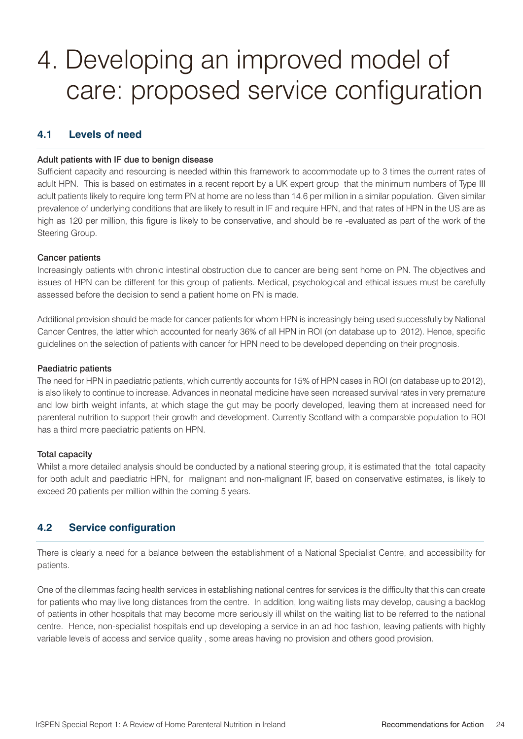### 4. Developing an improved model of care: proposed service configuration

#### **4.1 Levels of need**

#### Adult patients with IF due to benign disease

Sufficient capacity and resourcing is needed within this framework to accommodate up to 3 times the current rates of adult HPN. This is based on estimates in a recent report by a UK expert group that the minimum numbers of Type III adult patients likely to require long term PN at home are no less than 14.6 per million in a similar population. Given similar prevalence of underlying conditions that are likely to result in IF and require HPN, and that rates of HPN in the US are as high as 120 per million, this figure is likely to be conservative, and should be re -evaluated as part of the work of the Steering Group.

#### Cancer patients

Increasingly patients with chronic intestinal obstruction due to cancer are being sent home on PN. The objectives and issues of HPN can be different for this group of patients. Medical, psychological and ethical issues must be carefully assessed before the decision to send a patient home on PN is made.

Additional provision should be made for cancer patients for whom HPN is increasingly being used successfully by National Cancer Centres, the latter which accounted for nearly 36% of all HPN in ROI (on database up to 2012). Hence, specific guidelines on the selection of patients with cancer for HPN need to be developed depending on their prognosis.

#### Paediatric patients

The need for HPN in paediatric patients, which currently accounts for 15% of HPN cases in ROI (on database up to 2012), is also likely to continue to increase. Advances in neonatal medicine have seen increased survival rates in very premature and low birth weight infants, at which stage the gut may be poorly developed, leaving them at increased need for parenteral nutrition to support their growth and development. Currently Scotland with a comparable population to ROI has a third more paediatric patients on HPN.

#### Total capacity

Whilst a more detailed analysis should be conducted by a national steering group, it is estimated that the total capacity for both adult and paediatric HPN, for malignant and non-malignant IF, based on conservative estimates, is likely to exceed 20 patients per million within the coming 5 years.

#### **4.2 Service configuration**

There is clearly a need for a balance between the establishment of a National Specialist Centre, and accessibility for patients.

One of the dilemmas facing health services in establishing national centres for services is the difficulty that this can create for patients who may live long distances from the centre. In addition, long waiting lists may develop, causing a backlog of patients in other hospitals that may become more seriously ill whilst on the waiting list to be referred to the national centre. Hence, non-specialist hospitals end up developing a service in an ad hoc fashion, leaving patients with highly variable levels of access and service quality , some areas having no provision and others good provision.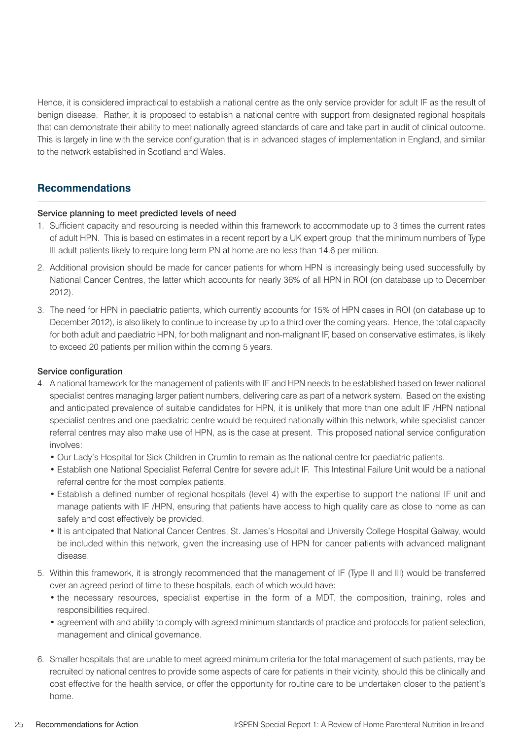Hence, it is considered impractical to establish a national centre as the only service provider for adult IF as the result of benign disease. Rather, it is proposed to establish a national centre with support from designated regional hospitals that can demonstrate their ability to meet nationally agreed standards of care and take part in audit of clinical outcome. This is largely in line with the service configuration that is in advanced stages of implementation in England, and similar to the network established in Scotland and Wales.

#### **Recommendations**

#### Service planning to meet predicted levels of need

- 1. Sufficient capacity and resourcing is needed within this framework to accommodate up to 3 times the current rates of adult HPN. This is based on estimates in a recent report by a UK expert group that the minimum numbers of Type III adult patients likely to require long term PN at home are no less than 14.6 per million.
- 2. Additional provision should be made for cancer patients for whom HPN is increasingly being used successfully by National Cancer Centres, the latter which accounts for nearly 36% of all HPN in ROI (on database up to December 2012).
- 3. The need for HPN in paediatric patients, which currently accounts for 15% of HPN cases in ROI (on database up to December 2012), is also likely to continue to increase by up to a third over the coming years. Hence, the total capacity for both adult and paediatric HPN, for both malignant and non-malignant IF, based on conservative estimates, is likely to exceed 20 patients per million within the coming 5 years.

#### Service configuration

- 4. A national framework for the management of patients with IF and HPN needs to be established based on fewer national specialist centres managing larger patient numbers, delivering care as part of a network system. Based on the existing and anticipated prevalence of suitable candidates for HPN, it is unlikely that more than one adult IF /HPN national specialist centres and one paediatric centre would be required nationally within this network, while specialist cancer referral centres may also make use of HPN, as is the case at present. This proposed national service configuration involves:
	- Our Lady's Hospital for Sick Children in Crumlin to remain as the national centre for paediatric patients.
	- Establish one National Specialist Referral Centre for severe adult IF. This Intestinal Failure Unit would be a national referral centre for the most complex patients.
	- Establish a defined number of regional hospitals (level 4) with the expertise to support the national IF unit and manage patients with IF /HPN, ensuring that patients have access to high quality care as close to home as can safely and cost effectively be provided.
	- It is anticipated that National Cancer Centres, St. James's Hospital and University College Hospital Galway, would be included within this network, given the increasing use of HPN for cancer patients with advanced malignant disease.
- 5. Within this framework, it is strongly recommended that the management of IF (Type II and III) would be transferred over an agreed period of time to these hospitals, each of which would have:
	- the necessary resources, specialist expertise in the form of a MDT, the composition, training, roles and responsibilities required.
	- agreement with and ability to comply with agreed minimum standards of practice and protocols for patient selection, management and clinical governance.
- 6. Smaller hospitals that are unable to meet agreed minimum criteria for the total management of such patients, may be recruited by national centres to provide some aspects of care for patients in their vicinity, should this be clinically and cost effective for the health service, or offer the opportunity for routine care to be undertaken closer to the patient's home.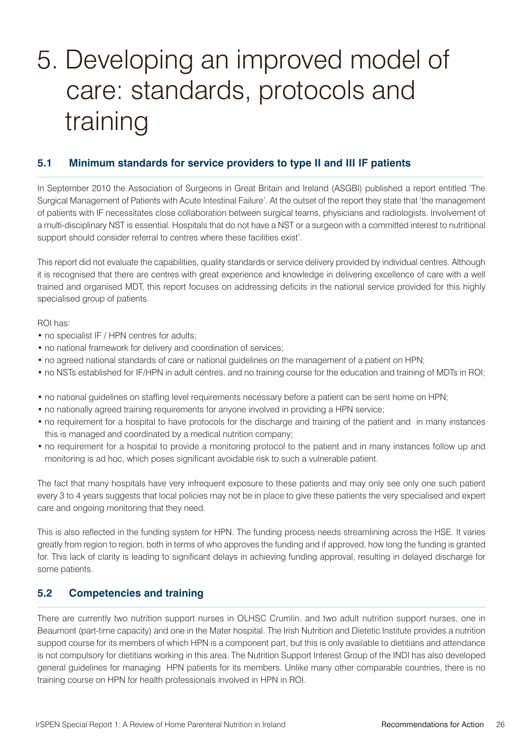## 5. Developing an improved model of care: standards, protocols and training

#### **5.1 Minimum standards for service providers to type II and III IF patients**

In September 2010 the Association of Surgeons in Great Britain and Ireland (ASGBI) published a report entitled 'The Surgical Management of Patients with Acute Intestinal Failure'. At the outset of the report they state that 'the management of patients with IF necessitates close collaboration between surgical teams, physicians and radiologists. Involvement of a multi-disciplinary NST is essential. Hospitals that do not have a NST or a surgeon with a committed interest to nutritional support should consider referral to centres where these facilities exist'.

This report did not evaluate the capabilities, quality standards or service delivery provided by individual centres. Although it is recognised that there are centres with great experience and knowledge in delivering excellence of care with a well trained and organised MDT, this report focuses on addressing deficits in the national service provided for this highly specialised group of patients.

ROI has:

- no specialist IF / HPN centres for adults;
- no national framework for delivery and coordination of services;
- no agreed national standards of care or national guidelines on the management of a patient on HPN;
- no NSTs established for IF/HPN in adult centres, and no training course for the education and training of MDTs in ROI;
- no national guidelines on staffing level requirements necessary before a patient can be sent home on HPN;
- no nationally agreed training requirements for anyone involved in providing a HPN service;
- no requirement for a hospital to have protocols for the discharge and training of the patient and in many instances this is managed and coordinated by a medical nutrition company;
- no requirement for a hospital to provide a monitoring protocol to the patient and in many instances follow up and monitoring is ad hoc, which poses significant avoidable risk to such a vulnerable patient.

The fact that many hospitals have very infrequent exposure to these patients and may only see only one such patient every 3 to 4 years suggests that local policies may not be in place to give these patients the very specialised and expert care and ongoing monitoring that they need.

This is also reflected in the funding system for HPN. The funding process needs streamlining across the HSE. It varies greatly from region to region, both in terms of who approves the funding and if approved, how long the funding is granted for. This lack of clarity is leading to significant delays in achieving funding approval, resulting in delayed discharge for some patients.

#### **5.2 Competencies and training**

There are currently two nutrition support nurses in OLHSC Crumlin, and two adult nutrition support nurses, one in Beaumont (part-time capacity) and one in the Mater hospital. The Irish Nutrition and Dietetic Institute provides a nutrition support course for its members of which HPN is a component part, but this is only available to dietitians and attendance is not compulsory for dietitians working in this area. The Nutrition Support Interest Group of the INDI has also developed general guidelines for managing HPN patients for its members. Unlike many other comparable countries, there is no training course on HPN for health professionals involved in HPN in ROI.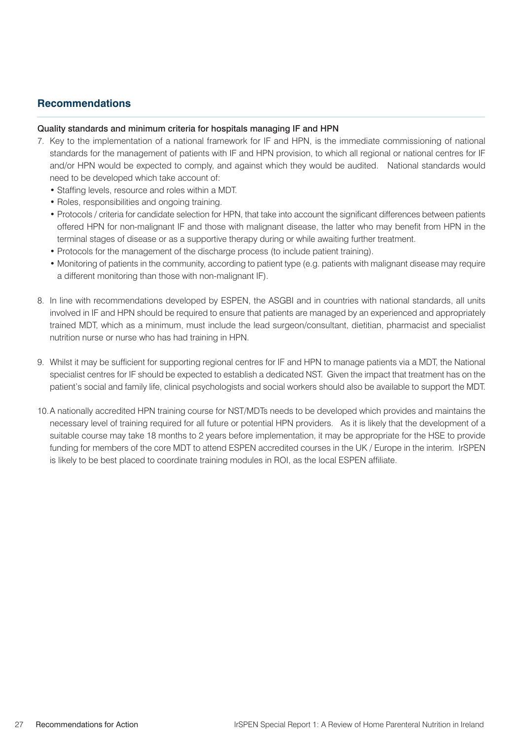#### **Recommendations**

#### Quality standards and minimum criteria for hospitals managing IF and HPN

- 7. Key to the implementation of a national framework for IF and HPN, is the immediate commissioning of national standards for the management of patients with IF and HPN provision, to which all regional or national centres for IF and/or HPN would be expected to comply, and against which they would be audited. National standards would need to be developed which take account of:
	- Staffing levels, resource and roles within a MDT.
	- Roles, responsibilities and ongoing training.
	- Protocols / criteria for candidate selection for HPN, that take into account the significant differences between patients offered HPN for non-malignant IF and those with malignant disease, the latter who may benefit from HPN in the terminal stages of disease or as a supportive therapy during or while awaiting further treatment.
	- Protocols for the management of the discharge process (to include patient training).
	- Monitoring of patients in the community, according to patient type (e.g. patients with malignant disease may require a different monitoring than those with non-malignant IF).
- 8. In line with recommendations developed by ESPEN, the ASGBI and in countries with national standards, all units involved in IF and HPN should be required to ensure that patients are managed by an experienced and appropriately trained MDT, which as a minimum, must include the lead surgeon/consultant, dietitian, pharmacist and specialist nutrition nurse or nurse who has had training in HPN.
- 9. Whilst it may be sufficient for supporting regional centres for IF and HPN to manage patients via a MDT, the National specialist centres for IF should be expected to establish a dedicated NST. Given the impact that treatment has on the patient's social and family life, clinical psychologists and social workers should also be available to support the MDT.
- 10.A nationally accredited HPN training course for NST/MDTs needs to be developed which provides and maintains the necessary level of training required for all future or potential HPN providers. As it is likely that the development of a suitable course may take 18 months to 2 years before implementation, it may be appropriate for the HSE to provide funding for members of the core MDT to attend ESPEN accredited courses in the UK / Europe in the interim. IrSPEN is likely to be best placed to coordinate training modules in ROI, as the local ESPEN affiliate.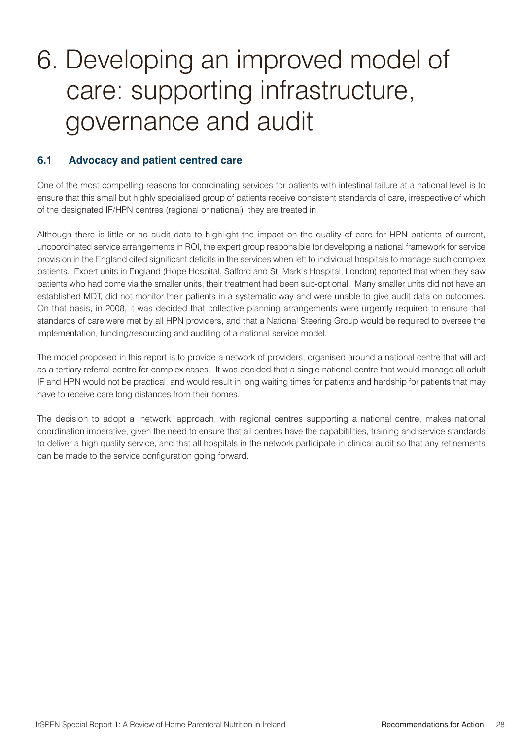### 6. Developing an improved model of care: supporting infrastructure, governance and audit

#### **6.1 Advocacy and patient centred care**

One of the most compelling reasons for coordinating services for patients with intestinal failure at a national level is to ensure that this small but highly specialised group of patients receive consistent standards of care, irrespective of which of the designated IF/HPN centres (regional or national) they are treated in.

Although there is little or no audit data to highlight the impact on the quality of care for HPN patients of current, uncoordinated service arrangements in ROI, the expert group responsible for developing a national framework for service provision in the England cited significant deficits in the services when left to individual hospitals to manage such complex patients. Expert units in England (Hope Hospital, Salford and St. Mark's Hospital, London) reported that when they saw patients who had come via the smaller units, their treatment had been sub-optional. Many smaller units did not have an established MDT, did not monitor their patients in a systematic way and were unable to give audit data on outcomes. On that basis, in 2008, it was decided that collective planning arrangements were urgently required to ensure that standards of care were met by all HPN providers, and that a National Steering Group would be required to oversee the implementation, funding/resourcing and auditing of a national service model.

The model proposed in this report is to provide a network of providers, organised around a national centre that will act as a tertiary referral centre for complex cases. It was decided that a single national centre that would manage all adult IF and HPN would not be practical, and would result in long waiting times for patients and hardship for patients that may have to receive care long distances from their homes.

The decision to adopt a 'network' approach, with regional centres supporting a national centre, makes national coordination imperative, given the need to ensure that all centres have the capabitilities, training and service standards to deliver a high quality service, and that all hospitals in the network participate in clinical audit so that any refinements can be made to the service configuration going forward.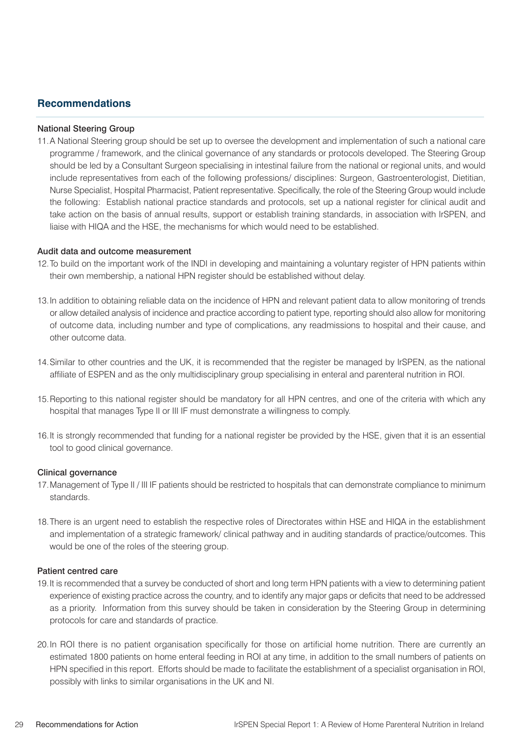#### **Recommendations**

#### National Steering Group

11.A National Steering group should be set up to oversee the development and implementation of such a national care programme / framework, and the clinical governance of any standards or protocols developed. The Steering Group should be led by a Consultant Surgeon specialising in intestinal failure from the national or regional units, and would include representatives from each of the following professions/ disciplines: Surgeon, Gastroenterologist, Dietitian, Nurse Specialist, Hospital Pharmacist, Patient representative. Specifically, the role of the Steering Group would include the following: Establish national practice standards and protocols, set up a national register for clinical audit and take action on the basis of annual results, support or establish training standards, in association with IrSPEN, and liaise with HIQA and the HSE, the mechanisms for which would need to be established.

#### Audit data and outcome measurement

- 12.To build on the important work of the INDI in developing and maintaining a voluntary register of HPN patients within their own membership, a national HPN register should be established without delay.
- 13.In addition to obtaining reliable data on the incidence of HPN and relevant patient data to allow monitoring of trends or allow detailed analysis of incidence and practice according to patient type, reporting should also allow for monitoring of outcome data, including number and type of complications, any readmissions to hospital and their cause, and other outcome data.
- 14.Similar to other countries and the UK, it is recommended that the register be managed by IrSPEN, as the national affiliate of ESPEN and as the only multidisciplinary group specialising in enteral and parenteral nutrition in ROI.
- 15.Reporting to this national register should be mandatory for all HPN centres, and one of the criteria with which any hospital that manages Type II or III IF must demonstrate a willingness to comply.
- 16.It is strongly recommended that funding for a national register be provided by the HSE, given that it is an essential tool to good clinical governance.

#### Clinical governance

- 17.Management of Type II / III IF patients should be restricted to hospitals that can demonstrate compliance to minimum standards.
- 18.There is an urgent need to establish the respective roles of Directorates within HSE and HIQA in the establishment and implementation of a strategic framework/ clinical pathway and in auditing standards of practice/outcomes. This would be one of the roles of the steering group.

#### Patient centred care

- 19.It is recommended that a survey be conducted of short and long term HPN patients with a view to determining patient experience of existing practice across the country, and to identify any major gaps or deficits that need to be addressed as a priority. Information from this survey should be taken in consideration by the Steering Group in determining protocols for care and standards of practice.
- 20.In ROI there is no patient organisation specifically for those on artificial home nutrition. There are currently an estimated 1800 patients on home enteral feeding in ROI at any time, in addition to the small numbers of patients on HPN specified in this report. Efforts should be made to facilitate the establishment of a specialist organisation in ROI, possibly with links to similar organisations in the UK and NI.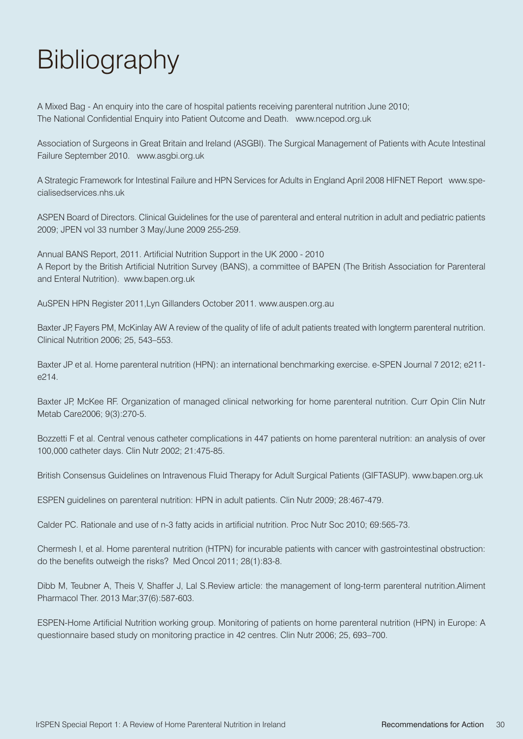# **Bibliography**

A Mixed Bag - An enquiry into the care of hospital patients receiving parenteral nutrition June 2010; The National Confidential Enquiry into Patient Outcome and Death. www.ncepod.org.uk

Association of Surgeons in Great Britain and Ireland (ASGBI). The Surgical Management of Patients with Acute Intestinal Failure September 2010. www.asgbi.org.uk

A Strategic Framework for Intestinal Failure and HPN Services for Adults in England April 2008 HIFNET Report www.specialisedservices.nhs.uk

ASPEN Board of Directors. Clinical Guidelines for the use of parenteral and enteral nutrition in adult and pediatric patients 2009; JPEN vol 33 number 3 May/June 2009 255-259.

Annual BANS Report, 2011. Artificial Nutrition Support in the UK 2000 - 2010 A Report by the British Artificial Nutrition Survey (BANS), a committee of BAPEN (The British Association for Parenteral and Enteral Nutrition). www.bapen.org.uk

AuSPEN HPN Register 2011,Lyn Gillanders October 2011. www.auspen.org.au

Baxter JP, Fayers PM, McKinlay AW A review of the quality of life of adult patients treated with longterm parenteral nutrition. Clinical Nutrition 2006; 25, 543–553.

Baxter JP et al. Home parenteral nutrition (HPN): an international benchmarking exercise. e-SPEN Journal 7 2012; e211 e214.

Baxter JP, McKee RF. Organization of managed clinical networking for home parenteral nutrition. Curr Opin Clin Nutr Metab Care2006; 9(3):270-5.

Bozzetti F et al. Central venous catheter complications in 447 patients on home parenteral nutrition: an analysis of over 100,000 catheter days. Clin Nutr 2002; 21:475-85.

British Consensus Guidelines on Intravenous Fluid Therapy for Adult Surgical Patients (GIFTASUP). www.bapen.org.uk

ESPEN guidelines on parenteral nutrition: HPN in adult patients. Clin Nutr 2009; 28:467-479.

Calder PC. Rationale and use of n-3 fatty acids in artificial nutrition. Proc Nutr Soc 2010; 69:565-73.

Chermesh I, et al. Home parenteral nutrition (HTPN) for incurable patients with cancer with gastrointestinal obstruction: do the benefits outweigh the risks? Med Oncol 2011; 28(1):83-8.

Dibb M, Teubner A, Theis V, Shaffer J, Lal S.Review article: the management of long-term parenteral nutrition.Aliment Pharmacol Ther. 2013 Mar;37(6):587-603.

ESPEN-Home Artificial Nutrition working group. Monitoring of patients on home parenteral nutrition (HPN) in Europe: A questionnaire based study on monitoring practice in 42 centres. Clin Nutr 2006; 25, 693–700.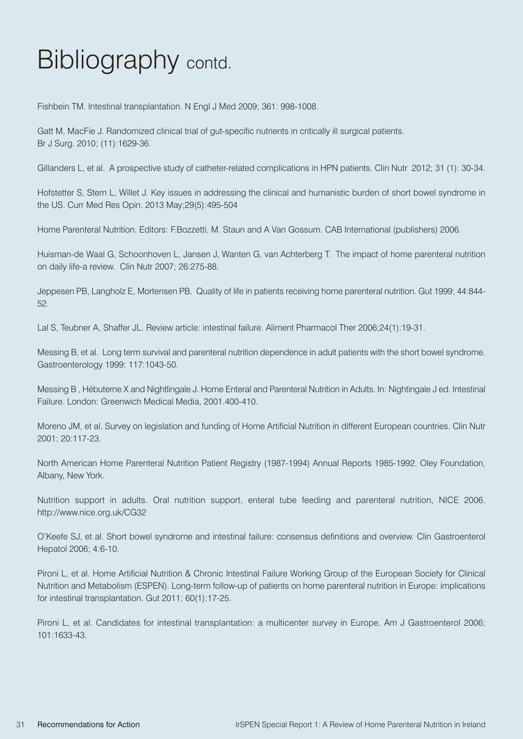## Bibliography contd.

Fishbein TM. Intestinal transplantation. N Engl J Med 2009; 361: 998-1008.

Gatt M, MacFie J. Randomized clinical trial of gut-specific nutrients in critically ill surgical patients. Br J Surg. 2010; (11):1629-36.

Gillanders L, et al. A prospective study of catheter-related complications in HPN patients. Clin Nutr 2012; 31 (1): 30-34.

Hofstetter S, Stern L, Willet J. Key issues in addressing the clinical and humanistic burden of short bowel syndrome in the US. Curr Med Res Opin. 2013 May;29(5):495-504

Home Parenteral Nutrition. Editors: F.Bozzetti, M. Staun and A Van Gossum. CAB International (publishers) 2006.

Huisman-de Waal G, Schoonhoven L, Jansen J, Wanten G, van Achterberg T. The impact of home parenteral nutrition on daily life-a review. Clin Nutr 2007; 26:275-88.

Jeppesen PB, Langholz E, Mortensen PB. Quality of life in patients receiving home parenteral nutrition. Gut 1999; 44:844- 52.

Lal S, Teubner A, Shaffer JL. Review article: intestinal failure. Aliment Pharmacol Ther 2006;24(1):19-31.

Messing B, et al. Long term survival and parenteral nutrition dependence in adult patients with the short bowel syndrome. Gastroenterology 1999; 117:1043-50.

Messing B , Hébuterne X and Nightlingale J. Home Enteral and Parenteral Nutrition in Adults. In: Nightingale J ed. Intestinal Failure. London: Greenwich Medical Media, 2001.400-410.

Moreno JM, et al. Survey on legislation and funding of Home Artificial Nutrition in different European countries. Clin Nutr 2001; 20:117-23.

North American Home Parenteral Nutrition Patient Registry (1987-1994) Annual Reports 1985-1992. Oley Foundation, Albany, New York.

Nutrition support in adults. Oral nutrition support, enteral tube feeding and parenteral nutrition, NICE 2006. http://www.nice.org.uk/CG32

O'Keefe SJ, et al. Short bowel syndrome and intestinal failure: consensus definitions and overview. Clin Gastroenterol Hepatol 2006; 4:6-10.

Pironi L, et al. Home Artificial Nutrition & Chronic Intestinal Failure Working Group of the European Society for Clinical Nutrition and Metabolism (ESPEN). Long-term follow-up of patients on home parenteral nutrition in Europe: implications for intestinal transplantation. Gut 2011; 60(1):17-25.

Pironi L, et al. Candidates for intestinal transplantation: a multicenter survey in Europe. Am J Gastroenterol 2006; 101:1633-43.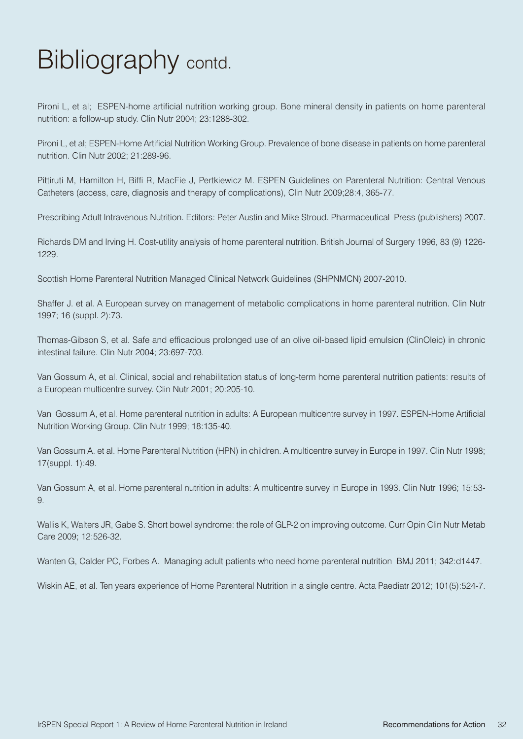## Bibliography contd.

Pironi L, et al; ESPEN-home artificial nutrition working group. Bone mineral density in patients on home parenteral nutrition: a follow-up study. Clin Nutr 2004; 23:1288-302.

Pironi L, et al; ESPEN-Home Artificial Nutrition Working Group. Prevalence of bone disease in patients on home parenteral nutrition. Clin Nutr 2002; 21:289-96.

Pittiruti M, Hamilton H, Biffi R, MacFie J, Pertkiewicz M. ESPEN Guidelines on Parenteral Nutrition: Central Venous Catheters (access, care, diagnosis and therapy of complications), Clin Nutr 2009;28:4, 365-77.

Prescribing Adult Intravenous Nutrition. Editors: Peter Austin and Mike Stroud. Pharmaceutical Press (publishers) 2007.

Richards DM and Irving H. Cost-utility analysis of home parenteral nutrition. British Journal of Surgery 1996, 83 (9) 1226- 1229.

Scottish Home Parenteral Nutrition Managed Clinical Network Guidelines (SHPNMCN) 2007-2010.

Shaffer J. et al. A European survey on management of metabolic complications in home parenteral nutrition. Clin Nutr 1997; 16 (suppl. 2):73.

Thomas-Gibson S, et al. Safe and efficacious prolonged use of an olive oil-based lipid emulsion (ClinOleic) in chronic intestinal failure. Clin Nutr 2004; 23:697-703.

Van Gossum A, et al. Clinical, social and rehabilitation status of long-term home parenteral nutrition patients: results of a European multicentre survey. Clin Nutr 2001; 20:205-10.

Van Gossum A, et al. Home parenteral nutrition in adults: A European multicentre survey in 1997. ESPEN-Home Artificial Nutrition Working Group. Clin Nutr 1999; 18:135-40.

Van Gossum A. et al. Home Parenteral Nutrition (HPN) in children. A multicentre survey in Europe in 1997. Clin Nutr 1998; 17(suppl. 1):49.

Van Gossum A, et al. Home parenteral nutrition in adults: A multicentre survey in Europe in 1993. Clin Nutr 1996; 15:53- 9.

Wallis K, Walters JR, Gabe S. Short bowel syndrome: the role of GLP-2 on improving outcome. Curr Opin Clin Nutr Metab Care 2009; 12:526-32.

Wanten G, Calder PC, Forbes A. Managing adult patients who need home parenteral nutrition BMJ 2011; 342:d1447.

Wiskin AE, et al. Ten years experience of Home Parenteral Nutrition in a single centre. Acta Paediatr 2012; 101(5):524-7.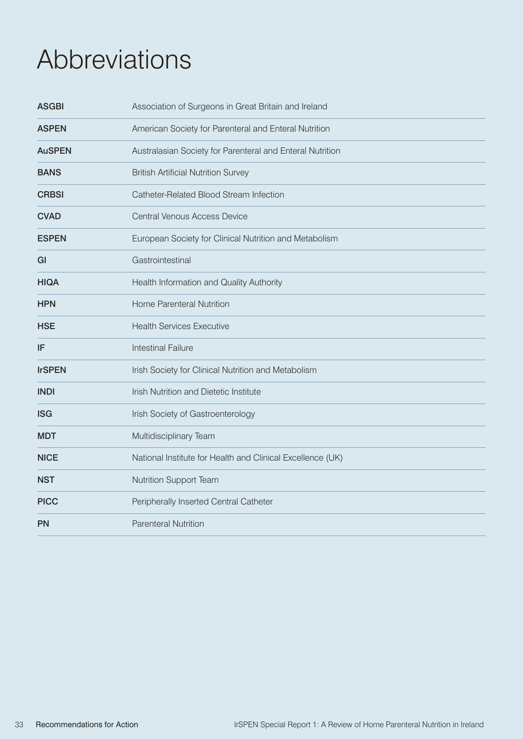### Abbreviations

| <b>ASGBI</b>  | Association of Surgeons in Great Britain and Ireland       |
|---------------|------------------------------------------------------------|
| <b>ASPEN</b>  | American Society for Parenteral and Enteral Nutrition      |
| <b>AuSPEN</b> | Australasian Society for Parenteral and Enteral Nutrition  |
| <b>BANS</b>   | <b>British Artificial Nutrition Survey</b>                 |
| <b>CRBSI</b>  | Catheter-Related Blood Stream Infection                    |
| <b>CVAD</b>   | <b>Central Venous Access Device</b>                        |
| <b>ESPEN</b>  | European Society for Clinical Nutrition and Metabolism     |
| GI            | Gastrointestinal                                           |
| <b>HIQA</b>   | Health Information and Quality Authority                   |
| <b>HPN</b>    | Home Parenteral Nutrition                                  |
| <b>HSE</b>    | <b>Health Services Executive</b>                           |
| IF            | <b>Intestinal Failure</b>                                  |
| <b>IrSPEN</b> | Irish Society for Clinical Nutrition and Metabolism        |
| <b>INDI</b>   | Irish Nutrition and Dietetic Institute                     |
| <b>ISG</b>    | Irish Society of Gastroenterology                          |
| <b>MDT</b>    | Multidisciplinary Team                                     |
| <b>NICE</b>   | National Institute for Health and Clinical Excellence (UK) |
| <b>NST</b>    | <b>Nutrition Support Team</b>                              |
| <b>PICC</b>   | Peripherally Inserted Central Catheter                     |
| <b>PN</b>     | <b>Parenteral Nutrition</b>                                |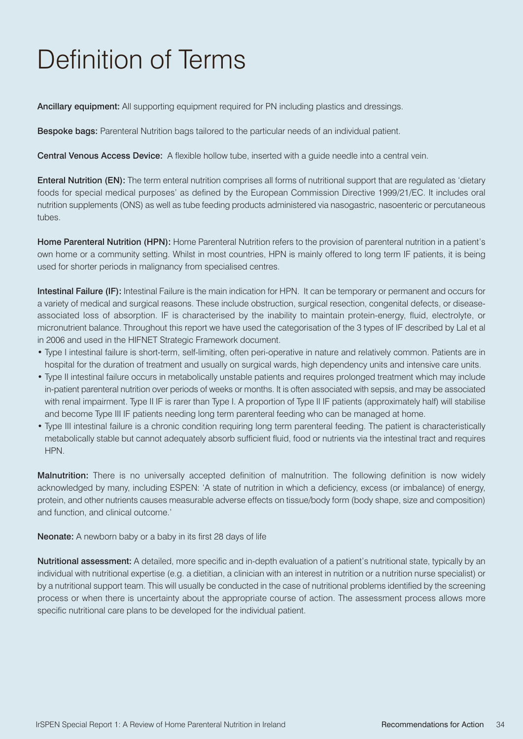# Definition of Terms

Ancillary equipment: All supporting equipment required for PN including plastics and dressings.

Bespoke bags: Parenteral Nutrition bags tailored to the particular needs of an individual patient.

Central Venous Access Device: A flexible hollow tube, inserted with a guide needle into a central vein.

Enteral Nutrition (EN): The term enteral nutrition comprises all forms of nutritional support that are regulated as 'dietary foods for special medical purposes' as defined by the European Commission Directive 1999/21/EC. It includes oral nutrition supplements (ONS) as well as tube feeding products administered via nasogastric, nasoenteric or percutaneous tubes.

Home Parenteral Nutrition (HPN): Home Parenteral Nutrition refers to the provision of parenteral nutrition in a patient's own home or a community setting. Whilst in most countries, HPN is mainly offered to long term IF patients, it is being used for shorter periods in malignancy from specialised centres.

Intestinal Failure (IF): Intestinal Failure is the main indication for HPN. It can be temporary or permanent and occurs for a variety of medical and surgical reasons. These include obstruction, surgical resection, congenital defects, or diseaseassociated loss of absorption. IF is characterised by the inability to maintain protein-energy, fluid, electrolyte, or micronutrient balance. Throughout this report we have used the categorisation of the 3 types of IF described by Lal et al in 2006 and used in the HIFNET Strategic Framework document.

- Type I intestinal failure is short-term, self-limiting, often peri-operative in nature and relatively common. Patients are in hospital for the duration of treatment and usually on surgical wards, high dependency units and intensive care units.
- Type II intestinal failure occurs in metabolically unstable patients and requires prolonged treatment which may include in-patient parenteral nutrition over periods of weeks or months. It is often associated with sepsis, and may be associated with renal impairment. Type II IF is rarer than Type I. A proportion of Type II IF patients (approximately half) will stabilise and become Type III IF patients needing long term parenteral feeding who can be managed at home.
- Type III intestinal failure is a chronic condition requiring long term parenteral feeding. The patient is characteristically metabolically stable but cannot adequately absorb sufficient fluid, food or nutrients via the intestinal tract and requires **HPN**

Malnutrition: There is no universally accepted definition of malnutrition. The following definition is now widely acknowledged by many, including ESPEN: 'A state of nutrition in which a deficiency, excess (or imbalance) of energy, protein, and other nutrients causes measurable adverse effects on tissue/body form (body shape, size and composition) and function, and clinical outcome.'

Neonate: A newborn baby or a baby in its first 28 days of life

Nutritional assessment: A detailed, more specific and in-depth evaluation of a patient's nutritional state, typically by an individual with nutritional expertise (e.g. a dietitian, a clinician with an interest in nutrition or a nutrition nurse specialist) or by a nutritional support team. This will usually be conducted in the case of nutritional problems identified by the screening process or when there is uncertainty about the appropriate course of action. The assessment process allows more specific nutritional care plans to be developed for the individual patient.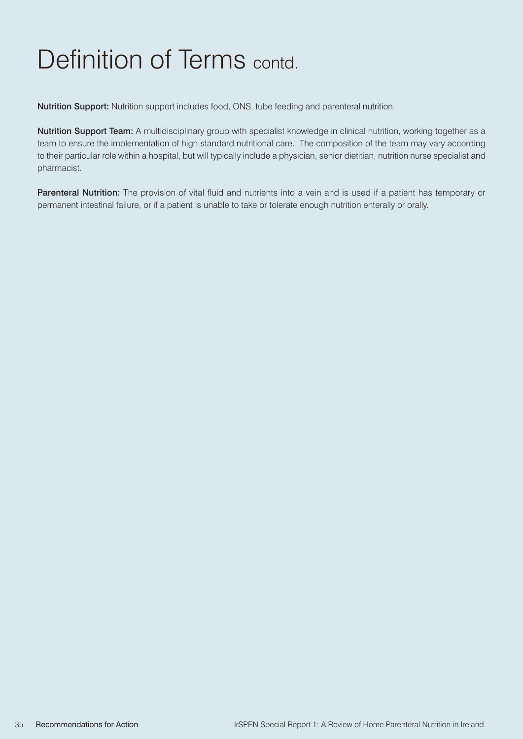### Definition of Terms contd.

Nutrition Support: Nutrition support includes food, ONS, tube feeding and parenteral nutrition.

Nutrition Support Team: A multidisciplinary group with specialist knowledge in clinical nutrition, working together as a team to ensure the implementation of high standard nutritional care. The composition of the team may vary according to their particular role within a hospital, but will typically include a physician, senior dietitian, nutrition nurse specialist and pharmacist.

Parenteral Nutrition: The provision of vital fluid and nutrients into a vein and is used if a patient has temporary or permanent intestinal failure, or if a patient is unable to take or tolerate enough nutrition enterally or orally.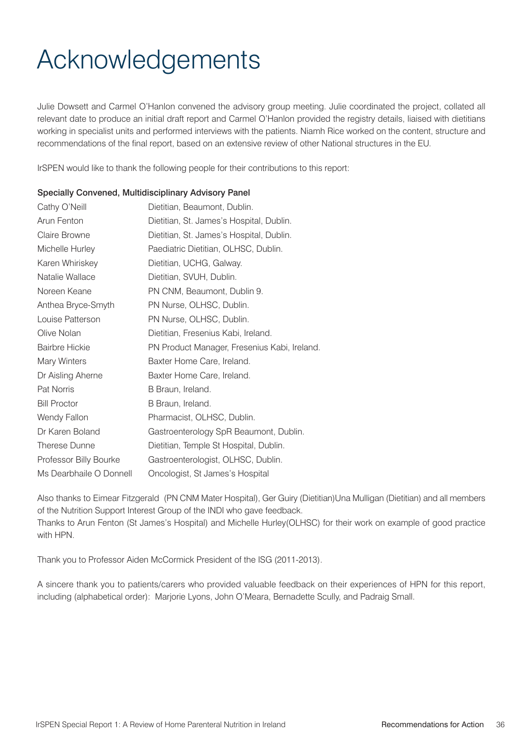## Acknowledgements

Julie Dowsett and Carmel O'Hanlon convened the advisory group meeting. Julie coordinated the project, collated all relevant date to produce an initial draft report and Carmel O'Hanlon provided the registry details, liaised with dietitians working in specialist units and performed interviews with the patients. Niamh Rice worked on the content, structure and recommendations of the final report, based on an extensive review of other National structures in the EU.

IrSPEN would like to thank the following people for their contributions to this report:

#### Specially Convened, Multidisciplinary Advisory Panel

| Cathy O'Neill           | Dietitian, Beaumont, Dublin.                 |
|-------------------------|----------------------------------------------|
| Arun Fenton             | Dietitian, St. James's Hospital, Dublin.     |
| Claire Browne           | Dietitian, St. James's Hospital, Dublin.     |
| Michelle Hurley         | Paediatric Dietitian, OLHSC, Dublin.         |
| Karen Whiriskey         | Dietitian, UCHG, Galway.                     |
| Natalie Wallace         | Dietitian, SVUH, Dublin.                     |
| Noreen Keane            | PN CNM, Beaumont, Dublin 9.                  |
| Anthea Bryce-Smyth      | PN Nurse, OLHSC, Dublin.                     |
| Louise Patterson        | PN Nurse, OLHSC, Dublin.                     |
| Olive Nolan             | Dietitian, Fresenius Kabi, Ireland.          |
| <b>Bairbre Hickie</b>   | PN Product Manager, Fresenius Kabi, Ireland. |
| Mary Winters            | Baxter Home Care, Ireland.                   |
| Dr Aisling Aherne       | Baxter Home Care, Ireland.                   |
| <b>Pat Norris</b>       | B Braun, Ireland.                            |
| <b>Bill Proctor</b>     | B Braun, Ireland.                            |
| Wendy Fallon            | Pharmacist, OLHSC, Dublin.                   |
| Dr Karen Boland         | Gastroenterology SpR Beaumont, Dublin.       |
| Therese Dunne           | Dietitian, Temple St Hospital, Dublin.       |
| Professor Billy Bourke  | Gastroenterologist, OLHSC, Dublin.           |
| Ms Dearbhaile O Donnell | Oncologist, St James's Hospital              |

Also thanks to Eimear Fitzgerald (PN CNM Mater Hospital), Ger Guiry (Dietitian)Una Mulligan (Dietitian) and all members of the Nutrition Support Interest Group of the INDI who gave feedback. Thanks to Arun Fenton (St James's Hospital) and Michelle Hurley(OLHSC) for their work on example of good practice with HPN

Thank you to Professor Aiden McCormick President of the ISG (2011-2013).

A sincere thank you to patients/carers who provided valuable feedback on their experiences of HPN for this report, including (alphabetical order): Marjorie Lyons, John O'Meara, Bernadette Scully, and Padraig Small.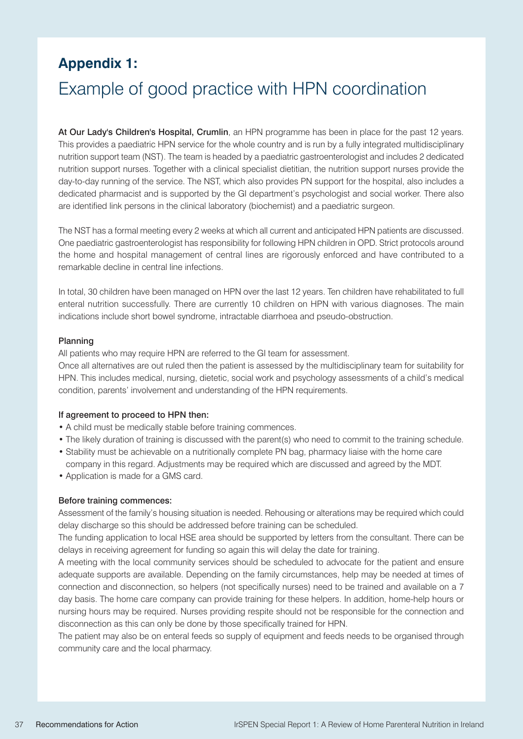### **Appendix 1:**

### Example of good practice with HPN coordination

At Our Lady's Children's Hospital, Crumlin, an HPN programme has been in place for the past 12 years. This provides a paediatric HPN service for the whole country and is run by a fully integrated multidisciplinary nutrition support team (NST). The team is headed by a paediatric gastroenterologist and includes 2 dedicated nutrition support nurses. Together with a clinical specialist dietitian, the nutrition support nurses provide the day-to-day running of the service. The NST, which also provides PN support for the hospital, also includes a dedicated pharmacist and is supported by the GI department's psychologist and social worker. There also are identified link persons in the clinical laboratory (biochemist) and a paediatric surgeon.

The NST has a formal meeting every 2 weeks at which all current and anticipated HPN patients are discussed. One paediatric gastroenterologist has responsibility for following HPN children in OPD. Strict protocols around the home and hospital management of central lines are rigorously enforced and have contributed to a remarkable decline in central line infections.

In total, 30 children have been managed on HPN over the last 12 years. Ten children have rehabilitated to full enteral nutrition successfully. There are currently 10 children on HPN with various diagnoses. The main indications include short bowel syndrome, intractable diarrhoea and pseudo-obstruction.

#### Planning

All patients who may require HPN are referred to the GI team for assessment.

Once all alternatives are out ruled then the patient is assessed by the multidisciplinary team for suitability for HPN. This includes medical, nursing, dietetic, social work and psychology assessments of a child's medical condition, parents' involvement and understanding of the HPN requirements.

#### If agreement to proceed to HPN then:

- A child must be medically stable before training commences.
- The likely duration of training is discussed with the parent(s) who need to commit to the training schedule.
- Stability must be achievable on a nutritionally complete PN bag, pharmacy liaise with the home care company in this regard. Adjustments may be required which are discussed and agreed by the MDT.
- Application is made for a GMS card.

#### Before training commences:

Assessment of the family's housing situation is needed. Rehousing or alterations may be required which could delay discharge so this should be addressed before training can be scheduled.

The funding application to local HSE area should be supported by letters from the consultant. There can be delays in receiving agreement for funding so again this will delay the date for training.

A meeting with the local community services should be scheduled to advocate for the patient and ensure adequate supports are available. Depending on the family circumstances, help may be needed at times of connection and disconnection, so helpers (not specifically nurses) need to be trained and available on a 7 day basis. The home care company can provide training for these helpers. In addition, home-help hours or nursing hours may be required. Nurses providing respite should not be responsible for the connection and disconnection as this can only be done by those specifically trained for HPN.

The patient may also be on enteral feeds so supply of equipment and feeds needs to be organised through community care and the local pharmacy.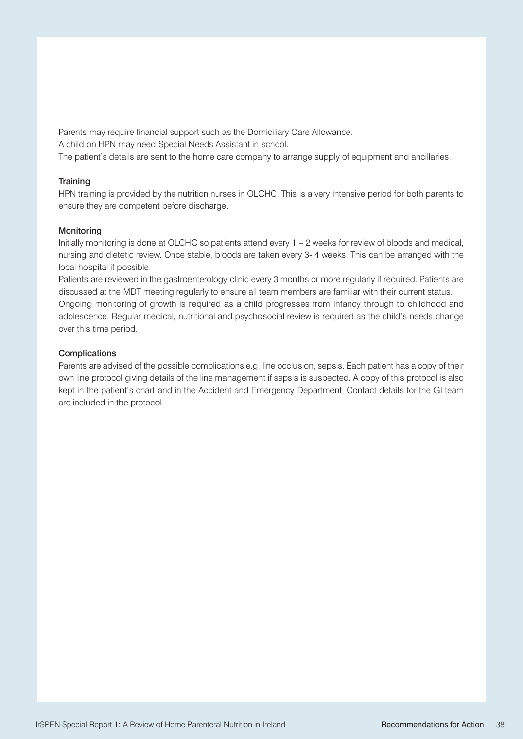Parents may require financial support such as the Domiciliary Care Allowance. A child on HPN may need Special Needs Assistant in school. The patient's details are sent to the home care company to arrange supply of equipment and ancillaries.

#### **Training**

HPN training is provided by the nutrition nurses in OLCHC. This is a very intensive period for both parents to ensure they are competent before discharge.

#### **Monitoring**

Initially monitoring is done at OLCHC so patients attend every 1 – 2 weeks for review of bloods and medical, nursing and dietetic review. Once stable, bloods are taken every 3- 4 weeks. This can be arranged with the local hospital if possible.

Patients are reviewed in the gastroenterology clinic every 3 months or more regularly if required. Patients are discussed at the MDT meeting regularly to ensure all team members are familiar with their current status. Ongoing monitoring of growth is required as a child progresses from infancy through to childhood and adolescence. Regular medical, nutritional and psychosocial review is required as the child's needs change over this time period.

#### **Complications**

Parents are advised of the possible complications e.g. line occlusion, sepsis. Each patient has a copy of their own line protocol giving details of the line management if sepsis is suspected. A copy of this protocol is also kept in the patient's chart and in the Accident and Emergency Department. Contact details for the GI team are included in the protocol.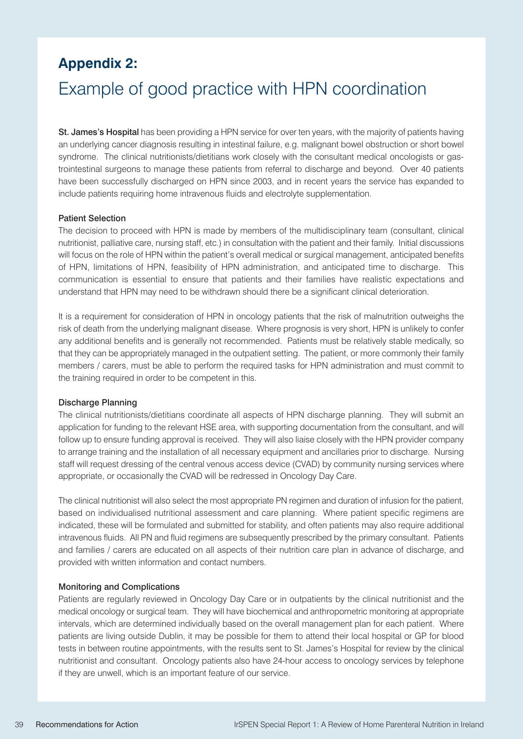### **Appendix 2:**

### Example of good practice with HPN coordination

St. James's Hospital has been providing a HPN service for over ten years, with the majority of patients having an underlying cancer diagnosis resulting in intestinal failure, e.g. malignant bowel obstruction or short bowel syndrome. The clinical nutritionists/dietitians work closely with the consultant medical oncologists or gastrointestinal surgeons to manage these patients from referral to discharge and beyond. Over 40 patients have been successfully discharged on HPN since 2003, and in recent years the service has expanded to include patients requiring home intravenous fluids and electrolyte supplementation.

#### Patient Selection

The decision to proceed with HPN is made by members of the multidisciplinary team (consultant, clinical nutritionist, palliative care, nursing staff, etc.) in consultation with the patient and their family. Initial discussions will focus on the role of HPN within the patient's overall medical or surgical management, anticipated benefits of HPN, limitations of HPN, feasibility of HPN administration, and anticipated time to discharge. This communication is essential to ensure that patients and their families have realistic expectations and understand that HPN may need to be withdrawn should there be a significant clinical deterioration.

It is a requirement for consideration of HPN in oncology patients that the risk of malnutrition outweighs the risk of death from the underlying malignant disease. Where prognosis is very short, HPN is unlikely to confer any additional benefits and is generally not recommended. Patients must be relatively stable medically, so that they can be appropriately managed in the outpatient setting. The patient, or more commonly their family members / carers, must be able to perform the required tasks for HPN administration and must commit to the training required in order to be competent in this.

#### Discharge Planning

The clinical nutritionists/dietitians coordinate all aspects of HPN discharge planning. They will submit an application for funding to the relevant HSE area, with supporting documentation from the consultant, and will follow up to ensure funding approval is received. They will also liaise closely with the HPN provider company to arrange training and the installation of all necessary equipment and ancillaries prior to discharge. Nursing staff will request dressing of the central venous access device (CVAD) by community nursing services where appropriate, or occasionally the CVAD will be redressed in Oncology Day Care.

The clinical nutritionist will also select the most appropriate PN regimen and duration of infusion for the patient, based on individualised nutritional assessment and care planning. Where patient specific regimens are indicated, these will be formulated and submitted for stability, and often patients may also require additional intravenous fluids. All PN and fluid regimens are subsequently prescribed by the primary consultant. Patients and families / carers are educated on all aspects of their nutrition care plan in advance of discharge, and provided with written information and contact numbers.

#### Monitoring and Complications

Patients are regularly reviewed in Oncology Day Care or in outpatients by the clinical nutritionist and the medical oncology or surgical team. They will have biochemical and anthropometric monitoring at appropriate intervals, which are determined individually based on the overall management plan for each patient. Where patients are living outside Dublin, it may be possible for them to attend their local hospital or GP for blood tests in between routine appointments, with the results sent to St. James's Hospital for review by the clinical nutritionist and consultant. Oncology patients also have 24-hour access to oncology services by telephone if they are unwell, which is an important feature of our service.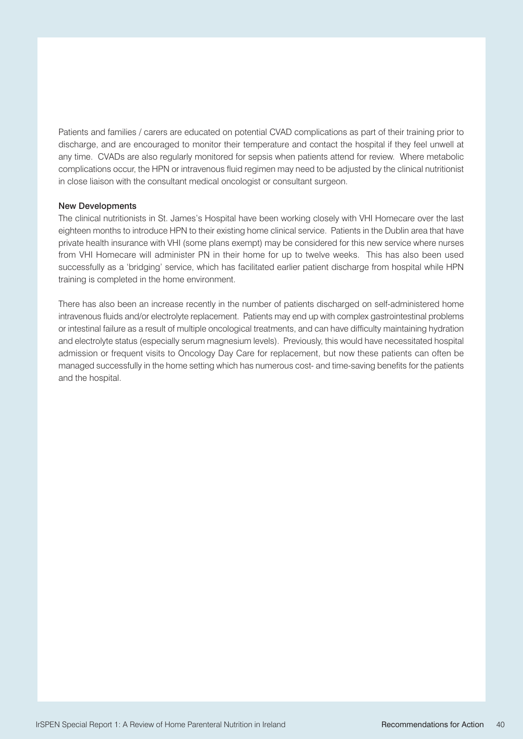Patients and families / carers are educated on potential CVAD complications as part of their training prior to discharge, and are encouraged to monitor their temperature and contact the hospital if they feel unwell at any time. CVADs are also regularly monitored for sepsis when patients attend for review. Where metabolic complications occur, the HPN or intravenous fluid regimen may need to be adjusted by the clinical nutritionist in close liaison with the consultant medical oncologist or consultant surgeon.

#### New Developments

The clinical nutritionists in St. James's Hospital have been working closely with VHI Homecare over the last eighteen months to introduce HPN to their existing home clinical service. Patients in the Dublin area that have private health insurance with VHI (some plans exempt) may be considered for this new service where nurses from VHI Homecare will administer PN in their home for up to twelve weeks. This has also been used successfully as a 'bridging' service, which has facilitated earlier patient discharge from hospital while HPN training is completed in the home environment.

There has also been an increase recently in the number of patients discharged on self-administered home intravenous fluids and/or electrolyte replacement. Patients may end up with complex gastrointestinal problems or intestinal failure as a result of multiple oncological treatments, and can have difficulty maintaining hydration and electrolyte status (especially serum magnesium levels). Previously, this would have necessitated hospital admission or frequent visits to Oncology Day Care for replacement, but now these patients can often be managed successfully in the home setting which has numerous cost- and time-saving benefits for the patients and the hospital.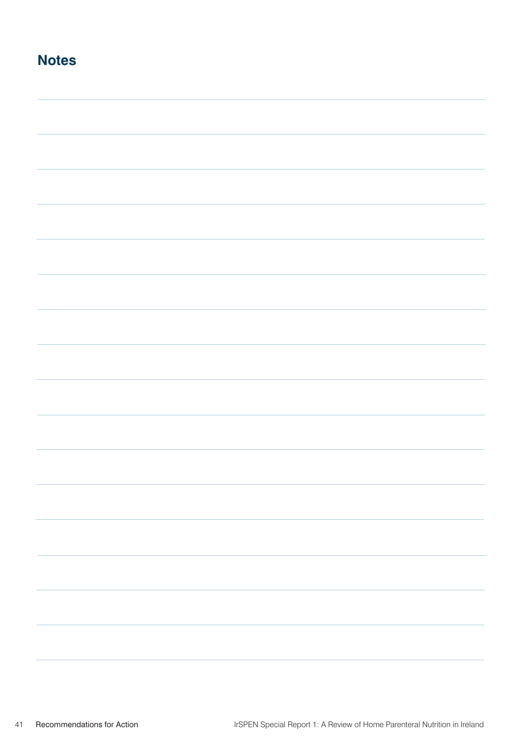| <b>Notes</b> |  |
|--------------|--|
|              |  |
|              |  |
|              |  |
|              |  |
|              |  |
|              |  |
|              |  |
|              |  |
|              |  |
|              |  |
|              |  |
|              |  |
|              |  |
|              |  |
|              |  |